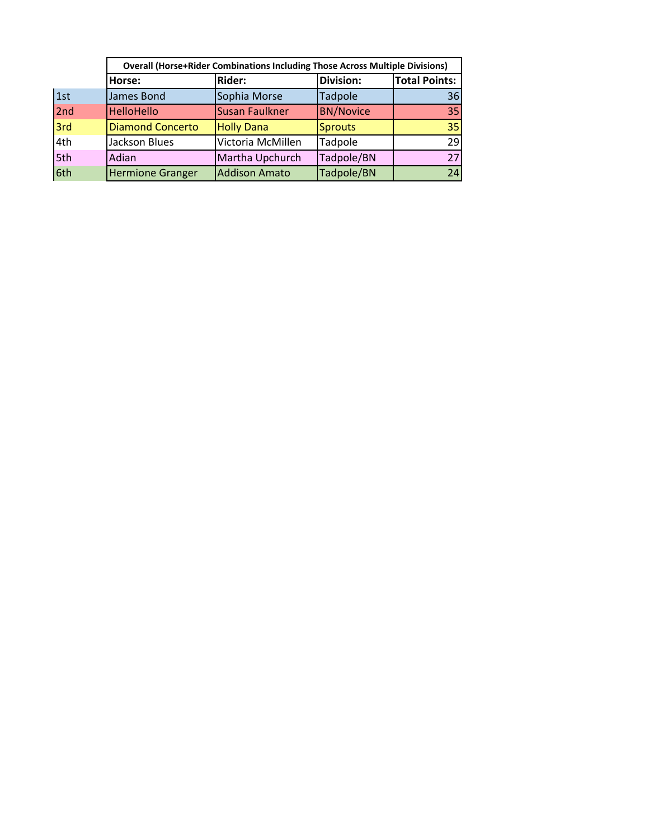|     |                         | <b>Overall (Horse+Rider Combinations Including Those Across Multiple Divisions)</b> |                  |                      |
|-----|-------------------------|-------------------------------------------------------------------------------------|------------------|----------------------|
|     | Horse:                  | <b>Rider:</b>                                                                       | <b>Division:</b> | <b>Total Points:</b> |
| 1st | James Bond              | Sophia Morse                                                                        | <b>Tadpole</b>   | 36                   |
| 2nd | <b>HelloHello</b>       | <b>Susan Faulkner</b>                                                               | <b>BN/Novice</b> | 35                   |
| 3rd | <b>Diamond Concerto</b> | <b>Holly Dana</b>                                                                   | <b>Sprouts</b>   | 35                   |
| 4th | <b>Jackson Blues</b>    | Victoria McMillen                                                                   | Tadpole          | 29                   |
| 5th | Adian                   | Martha Upchurch                                                                     | Tadpole/BN       | 27                   |
| 6th | <b>Hermione Granger</b> | <b>Addison Amato</b>                                                                | Tadpole/BN       | 24                   |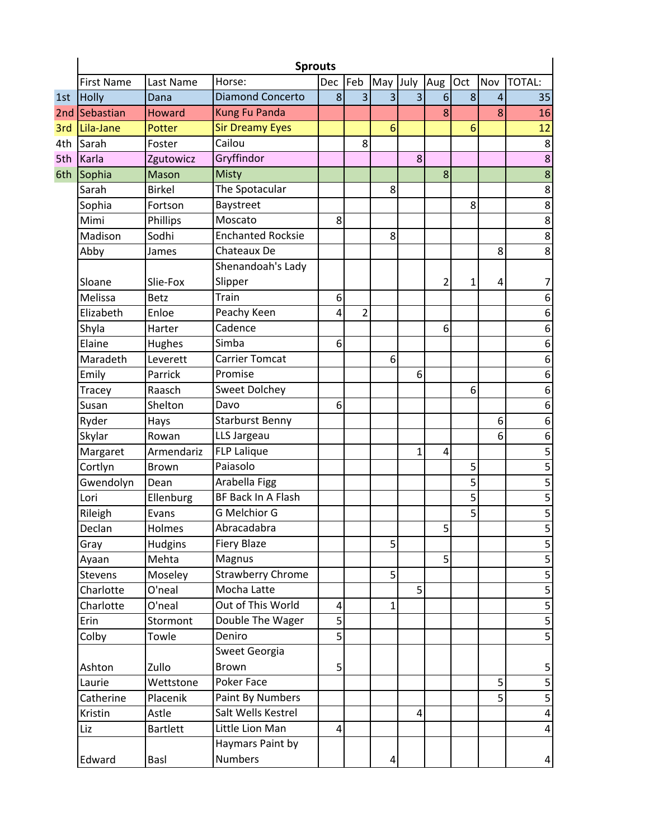|     | <b>Sprouts</b>    |                 |                          |     |                |                |             |     |     |                |                         |  |  |
|-----|-------------------|-----------------|--------------------------|-----|----------------|----------------|-------------|-----|-----|----------------|-------------------------|--|--|
|     | <b>First Name</b> | Last Name       | Horse:                   | Dec | Feb            | May            | July        | Aug | Oct | Nov            | TOTAL:                  |  |  |
| 1st | <b>Holly</b>      | Dana            | <b>Diamond Concerto</b>  | 8   | 3              | 3              | 3           | 6   | 8   | $\overline{4}$ | 35                      |  |  |
| 2nd | Sebastian         | <b>Howard</b>   | <b>Kung Fu Panda</b>     |     |                |                |             | 8   |     | 8              | 16                      |  |  |
| 3rd | Lila-Jane         | Potter          | <b>Sir Dreamy Eyes</b>   |     |                | 6              |             |     | 6   |                | 12                      |  |  |
| 4th | Sarah             | Foster          | Cailou                   |     | 8              |                |             |     |     |                | 8                       |  |  |
| 5th | Karla             | Zgutowicz       | Gryffindor               |     |                |                | 8           |     |     |                | 8                       |  |  |
| 6th | Sophia            | Mason           | <b>Misty</b>             |     |                |                |             | 8   |     |                | $\overline{8}$          |  |  |
|     | Sarah             | <b>Birkel</b>   | The Spotacular           |     |                | 8              |             |     |     |                | 8                       |  |  |
|     | Sophia            | Fortson         | Baystreet                |     |                |                |             |     | 8   |                | $\overline{8}$          |  |  |
|     | Mimi              | Phillips        | Moscato                  | 8   |                |                |             |     |     |                | $\overline{8}$          |  |  |
|     | Madison           | Sodhi           | <b>Enchanted Rocksie</b> |     |                | 8              |             |     |     |                | 8                       |  |  |
|     | Abby              | James           | Chateaux De              |     |                |                |             |     |     | 8              | 8                       |  |  |
|     |                   |                 | Shenandoah's Lady        |     |                |                |             |     |     |                |                         |  |  |
|     | Sloane            | Slie-Fox        | Slipper                  |     |                |                |             | 2   | 1   | 4              | 7                       |  |  |
|     | Melissa           | <b>Betz</b>     | Train                    | 6   |                |                |             |     |     |                | 6                       |  |  |
|     | Elizabeth         | Enloe           | Peachy Keen              | 4   | $\overline{2}$ |                |             |     |     |                | 6                       |  |  |
|     | Shyla             | Harter          | Cadence                  |     |                |                |             | 6   |     |                | 6                       |  |  |
|     | Elaine            | Hughes          | Simba                    | 6   |                |                |             |     |     |                | 6                       |  |  |
|     | Maradeth          | Leverett        | Carrier Tomcat           |     |                | 6              |             |     |     |                | $\overline{6}$          |  |  |
|     | Emily             | Parrick         | Promise                  |     |                |                | 6           |     |     |                | 6                       |  |  |
|     | Tracey            | Raasch          | <b>Sweet Dolchey</b>     |     |                |                |             |     | 6   |                | 6                       |  |  |
|     | Susan             | Shelton         | Davo                     | 6   |                |                |             |     |     |                | 6                       |  |  |
|     | Ryder             | Hays            | <b>Starburst Benny</b>   |     |                |                |             |     |     | 6              | 6                       |  |  |
|     | Skylar            | Rowan           | LLS Jargeau              |     |                |                |             |     |     | 6              | 6                       |  |  |
|     | Margaret          | Armendariz      | <b>FLP Lalique</b>       |     |                |                | $\mathbf 1$ | 4   |     |                | $\overline{\mathbf{5}}$ |  |  |
|     | Cortlyn           | Brown           | Paiasolo                 |     |                |                |             |     | 5   |                | $\overline{5}$          |  |  |
|     | Gwendolyn         | Dean            | Arabella Figg            |     |                |                |             |     | 5   |                |                         |  |  |
|     | Lori              | Ellenburg       | BF Back In A Flash       |     |                |                |             |     | 5   |                | $\overline{\mathbf{5}}$ |  |  |
|     | Rileigh           | Evans           | <b>G Melchior G</b>      |     |                |                |             |     | 5   |                | 5                       |  |  |
|     | Declan            | Holmes          | Abracadabra              |     |                |                |             | 5   |     |                | $\overline{5}$          |  |  |
|     | Gray              | Hudgins         | <b>Fiery Blaze</b>       |     |                | 5              |             |     |     |                | 5                       |  |  |
|     | Ayaan             | Mehta           | Magnus                   |     |                |                |             | 5   |     |                | 5                       |  |  |
|     | Stevens           | Moseley         | <b>Strawberry Chrome</b> |     |                | 5              |             |     |     |                | $\overline{5}$          |  |  |
|     | Charlotte         | O'neal          | Mocha Latte              |     |                |                | 5           |     |     |                | $\overline{5}$          |  |  |
|     | Charlotte         | O'neal          | Out of This World        | 4   |                | $\overline{1}$ |             |     |     |                | $\overline{\mathbf{5}}$ |  |  |
|     | Erin              | Stormont        | Double The Wager         | 5   |                |                |             |     |     |                | 5                       |  |  |
|     | Colby             | Towle           | Deniro                   | 5   |                |                |             |     |     |                | $\overline{5}$          |  |  |
|     |                   |                 | Sweet Georgia            |     |                |                |             |     |     |                |                         |  |  |
|     | Ashton            | Zullo           | <b>Brown</b>             | 5   |                |                |             |     |     |                | 5                       |  |  |
|     | Laurie            | Wettstone       | Poker Face               |     |                |                |             |     |     | 5              | 5                       |  |  |
|     | Catherine         | Placenik        | Paint By Numbers         |     |                |                |             |     |     | 5              | $\overline{\mathbf{5}}$ |  |  |
|     | Kristin           | Astle           | Salt Wells Kestrel       |     |                |                | 4           |     |     |                | $\overline{\mathbf{4}}$ |  |  |
|     | Liz               | <b>Bartlett</b> | Little Lion Man          | 4   |                |                |             |     |     |                | 4                       |  |  |
|     |                   |                 | Haymars Paint by         |     |                |                |             |     |     |                |                         |  |  |
|     | Edward            | Basl            | <b>Numbers</b>           |     |                | 4              |             |     |     |                | 4                       |  |  |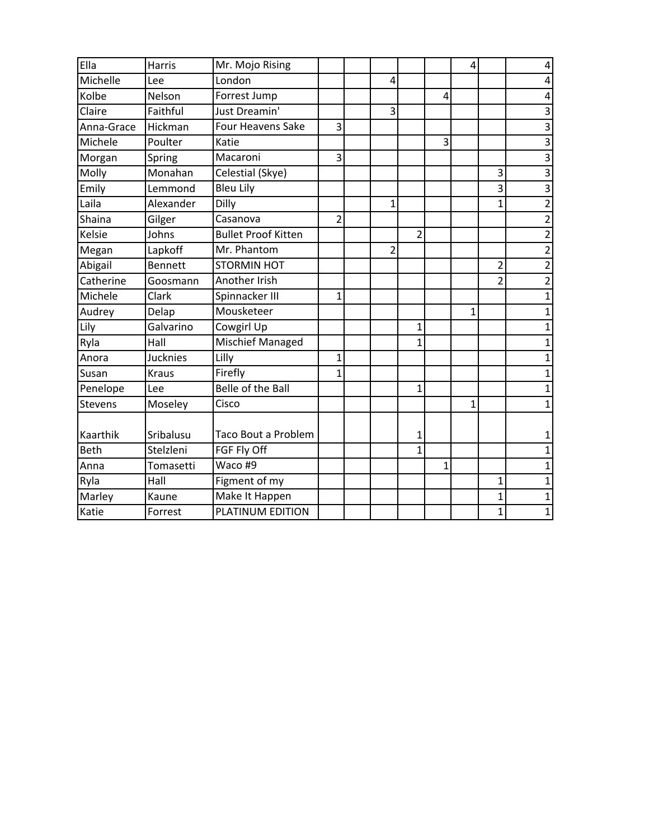| Ella           | Harris          | Mr. Mojo Rising            |                |   |                |              | 4            |                | 4              |
|----------------|-----------------|----------------------------|----------------|---|----------------|--------------|--------------|----------------|----------------|
| Michelle       | Lee             | London                     |                | 4 |                |              |              |                | 4              |
| Kolbe          | Nelson          | Forrest Jump               |                |   |                | 4            |              |                | 4              |
| Claire         | Faithful        | Just Dreamin'              |                | 3 |                |              |              |                | 3              |
| Anna-Grace     | Hickman         | <b>Four Heavens Sake</b>   | 3              |   |                |              |              |                | 3              |
| Michele        | Poulter         | Katie                      |                |   |                | 3            |              |                | $\overline{3}$ |
| Morgan         | Spring          | Macaroni                   | 3              |   |                |              |              |                | $\overline{3}$ |
| Molly          | Monahan         | Celestial (Skye)           |                |   |                |              |              | 3              | $\overline{3}$ |
| Emily          | Lemmond         | <b>Bleu Lily</b>           |                |   |                |              |              | 3              | 3              |
| Laila          | Alexander       | Dilly                      |                | 1 |                |              |              | $\overline{1}$ | $\overline{2}$ |
| Shaina         | Gilger          | Casanova                   | $\overline{2}$ |   |                |              |              |                | $\overline{2}$ |
| Kelsie         | Johns           | <b>Bullet Proof Kitten</b> |                |   | $\overline{2}$ |              |              |                | $\overline{2}$ |
| Megan          | Lapkoff         | Mr. Phantom                |                | 2 |                |              |              |                | $\overline{2}$ |
| Abigail        | <b>Bennett</b>  | <b>STORMIN HOT</b>         |                |   |                |              |              | $\overline{c}$ | $\overline{2}$ |
| Catherine      | Goosmann        | Another Irish              |                |   |                |              |              | $\overline{2}$ | $\overline{2}$ |
| Michele        | Clark           | Spinnacker III             | $\mathbf{1}$   |   |                |              |              |                | $\mathbf{1}$   |
| Audrey         | Delap           | Mousketeer                 |                |   |                |              | 1            |                | 1              |
| Lily           | Galvarino       | Cowgirl Up                 |                |   | 1              |              |              |                | 1              |
| Ryla           | Hall            | Mischief Managed           |                |   | 1              |              |              |                | 1              |
| Anora          | <b>Jucknies</b> | Lilly                      | $\mathbf{1}$   |   |                |              |              |                | 1              |
| Susan          | <b>Kraus</b>    | Firefly                    | 1              |   |                |              |              |                | 1              |
| Penelope       | Lee             | Belle of the Ball          |                |   | $\mathbf{1}$   |              |              |                | 1              |
| <b>Stevens</b> | Moseley         | Cisco                      |                |   |                |              | $\mathbf{1}$ |                | 1              |
| Kaarthik       | Sribalusu       | Taco Bout a Problem        |                |   | 1              |              |              |                | 1              |
| <b>Beth</b>    | Stelzleni       | FGF Fly Off                |                |   | $\mathbf{1}$   |              |              |                | 1              |
| Anna           | Tomasetti       | Waco #9                    |                |   |                | $\mathbf{1}$ |              |                | 1              |
| Ryla           | Hall            | Figment of my              |                |   |                |              |              | $\overline{1}$ | 1              |
| Marley         | Kaune           | Make It Happen             |                |   |                |              |              | $\overline{1}$ | 1              |
| Katie          | Forrest         | PLATINUM EDITION           |                |   |                |              |              | $\overline{1}$ | $\mathbf{1}$   |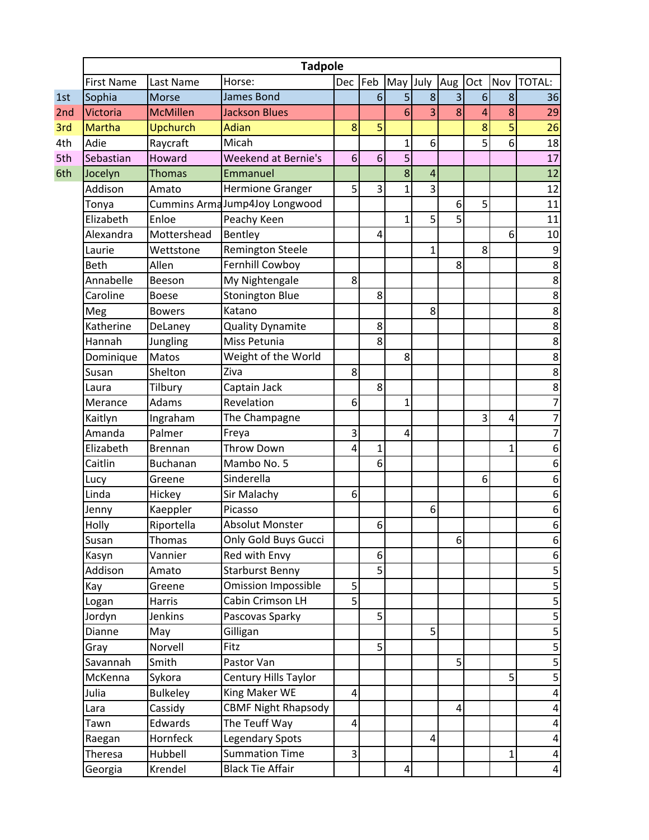|     | <b>Tadpole</b>    |                 |                               |     |              |                |              |                |     |                |                         |
|-----|-------------------|-----------------|-------------------------------|-----|--------------|----------------|--------------|----------------|-----|----------------|-------------------------|
|     | <b>First Name</b> | Last Name       | Horse:                        | Dec | Feb          | May July       |              | Aug            | Oct | Nov            | <b>TOTAL:</b>           |
| 1st | Sophia            | <b>Morse</b>    | <b>James Bond</b>             |     | 6            | 5              | 8            | 3              | 6   | 8              | 36                      |
| 2nd | Victoria          | <b>McMillen</b> | <b>Jackson Blues</b>          |     |              | 6              | 3            | 8              | 4   | 8              | 29                      |
| 3rd | <b>Martha</b>     | <b>Upchurch</b> | <b>Adian</b>                  | 8   | 5            |                |              |                | 8   | 5              | 26                      |
| 4th | Adie              | Raycraft        | Micah                         |     |              | 1              | 6            |                | 5   | 6              | 18                      |
| 5th | Sebastian         | Howard          | <b>Weekend at Bernie's</b>    | 6   | 6            | 5              |              |                |     |                | 17                      |
| 6th | Jocelyn           | <b>Thomas</b>   | Emmanuel                      |     |              | 8              | 4            |                |     |                | 12                      |
|     | Addison           | Amato           | Hermione Granger              | 5   | 3            | $\mathbf 1$    | 3            |                |     |                | 12                      |
|     | Tonya             |                 | Cummins ArmaJump4Joy Longwood |     |              |                |              | 6              | 5   |                | 11                      |
|     | Elizabeth         | Enloe           | Peachy Keen                   |     |              | 1              | 5            | 5              |     |                | 11                      |
|     | Alexandra         | Mottershead     | Bentley                       |     | 4            |                |              |                |     | 6              | 10                      |
|     | Laurie            | Wettstone       | Remington Steele              |     |              |                | $\mathbf{1}$ |                | 8   |                | 9                       |
|     | <b>Beth</b>       | Allen           | Fernhill Cowboy               |     |              |                |              | 8              |     |                | $\overline{8}$          |
|     | Annabelle         | Beeson          | My Nightengale                | 8   |              |                |              |                |     |                | $\overline{8}$          |
|     | Caroline          | <b>Boese</b>    | <b>Stonington Blue</b>        |     | 8            |                |              |                |     |                | $\bf 8$                 |
|     | Meg               | <b>Bowers</b>   | Katano                        |     |              |                | 8            |                |     |                | 8                       |
|     | Katherine         | DeLaney         | <b>Quality Dynamite</b>       |     | 8            |                |              |                |     |                | $\overline{8}$          |
|     | Hannah            | Jungling        | Miss Petunia                  |     | 8            |                |              |                |     |                | $\overline{8}$          |
|     | Dominique         | Matos           | Weight of the World           |     |              | 8              |              |                |     |                | $\overline{8}$          |
|     | Susan             | Shelton         | Ziva                          | 8   |              |                |              |                |     |                | $\overline{\mathbf{8}}$ |
|     | Laura             | Tilbury         | Captain Jack                  |     | 8            |                |              |                |     |                | 8                       |
|     | Merance           | Adams           | Revelation                    | 6   |              | 1              |              |                |     |                | $\overline{7}$          |
|     | Kaitlyn           | Ingraham        | The Champagne                 |     |              |                |              |                | 3   | 4              | $\overline{7}$          |
|     | Amanda            | Palmer          | Freya                         | 3   |              | 4              |              |                |     |                | $\overline{7}$          |
|     | Elizabeth         | <b>Brennan</b>  | <b>Throw Down</b>             | 4   | $\mathbf{1}$ |                |              |                |     | $\mathbf 1$    | 6                       |
|     | Caitlin           | Buchanan        | Mambo No. 5                   |     | 6            |                |              |                |     |                | 6                       |
|     | Lucy              | Greene          | Sinderella                    |     |              |                |              |                | 6   |                | 6                       |
|     | Linda             | Hickey          | Sir Malachy                   | 6   |              |                |              |                |     |                | 6                       |
|     | Jenny             | Kaeppler        | Picasso                       |     |              |                | 6            |                |     |                | 6                       |
|     | Holly             | Riportella      | <b>Absolut Monster</b>        |     | 6            |                |              |                |     |                | 6                       |
|     | Susan             | Thomas          | Only Gold Buys Gucci          |     |              |                |              | $6 \mid$       |     |                | 6                       |
|     | Kasyn             | Vannier         | Red with Envy                 |     | 6            |                |              |                |     |                | $\boldsymbol{6}$        |
|     | Addison           | Amato           | <b>Starburst Benny</b>        |     | 5            |                |              |                |     |                | $\overline{5}$          |
|     | Kay               | Greene          | <b>Omission Impossible</b>    | 5   |              |                |              |                |     |                | 5                       |
|     | Logan             | Harris          | Cabin Crimson LH              | 5   |              |                |              |                |     |                | $\overline{5}$          |
|     | Jordyn            | <b>Jenkins</b>  | Pascovas Sparky               |     | 5            |                |              |                |     |                | 5                       |
|     | Dianne            | May             | Gilligan                      |     |              |                | 5            |                |     |                | $\overline{5}$          |
|     | Gray              | Norvell         | Fitz                          |     | 5            |                |              |                |     |                |                         |
|     | Savannah          | Smith           | Pastor Van                    |     |              |                |              | 5              |     |                | 5                       |
|     | McKenna           | Sykora          | Century Hills Taylor          |     |              |                |              |                |     | $\overline{5}$ | $\overline{\mathbf{5}}$ |
|     | Julia             | <b>Bulkeley</b> | King Maker WE                 | 4   |              |                |              |                |     |                | $\overline{\mathbf{4}}$ |
|     | Lara              | Cassidy         | <b>CBMF Night Rhapsody</b>    |     |              |                |              | $\overline{4}$ |     |                | $\overline{\mathbf{4}}$ |
|     | Tawn              | Edwards         | The Teuff Way                 | 4   |              |                |              |                |     |                | $\overline{\mathbf{4}}$ |
|     | Raegan            | Hornfeck        | <b>Legendary Spots</b>        |     |              |                | 4            |                |     |                | 4                       |
|     | <b>Theresa</b>    | Hubbell         | <b>Summation Time</b>         | 3   |              |                |              |                |     | $1\vert$       | $\overline{\mathbf{4}}$ |
|     | Georgia           | Krendel         | <b>Black Tie Affair</b>       |     |              | $\overline{4}$ |              |                |     |                | $\vert 4 \vert$         |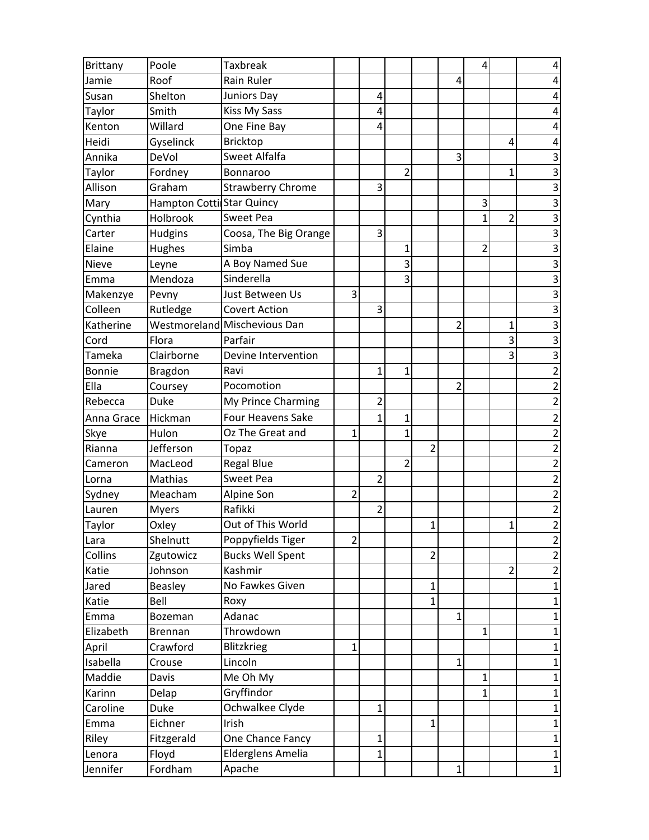| <b>Brittany</b> | Poole                             | <b>Taxbreak</b>              |                |                         |                |                |                | 4              |                |                         |
|-----------------|-----------------------------------|------------------------------|----------------|-------------------------|----------------|----------------|----------------|----------------|----------------|-------------------------|
| Jamie           | Roof                              | <b>Rain Ruler</b>            |                |                         |                |                | 4              |                |                | 4                       |
| Susan           | Shelton                           | Juniors Day                  |                | 4                       |                |                |                |                |                | 4                       |
| Taylor          | Smith                             | <b>Kiss My Sass</b>          |                | 4                       |                |                |                |                |                | 4                       |
| Kenton          | Willard                           | One Fine Bay                 |                | 4                       |                |                |                |                |                | 4                       |
| Heidi           | Gyselinck                         | <b>Bricktop</b>              |                |                         |                |                |                |                | 4              | 4                       |
| Annika          | DeVol                             | Sweet Alfalfa                |                |                         |                |                | 3              |                |                | 3                       |
| Taylor          | Fordney                           | Bonnaroo                     |                |                         | 2              |                |                |                | 1              | $\overline{3}$          |
| Allison         | Graham                            | <b>Strawberry Chrome</b>     |                | 3                       |                |                |                |                |                | $\overline{\mathbf{3}}$ |
| Mary            | <b>Hampton Cottil Star Quincy</b> |                              |                |                         |                |                |                | 3              |                | $\overline{3}$          |
| Cynthia         | Holbrook                          | <b>Sweet Pea</b>             |                |                         |                |                |                | $\mathbf{1}$   | $\overline{2}$ | $\overline{3}$          |
| Carter          | Hudgins                           | Coosa, The Big Orange        |                | 3                       |                |                |                |                |                | $\overline{\mathbf{3}}$ |
| Elaine          | Hughes                            | Simba                        |                |                         | $\mathbf 1$    |                |                | $\overline{c}$ |                | 3                       |
| <b>Nieve</b>    | Leyne                             | A Boy Named Sue              |                |                         | 3              |                |                |                |                | $\overline{\mathbf{3}}$ |
| Emma            | Mendoza                           | Sinderella                   |                |                         | 3              |                |                |                |                | 3                       |
| Makenzye        | Pevny                             | Just Between Us              | 3              |                         |                |                |                |                |                | $\overline{3}$          |
| Colleen         | Rutledge                          | <b>Covert Action</b>         |                | 3                       |                |                |                |                |                | $\overline{\mathbf{3}}$ |
| Katherine       |                                   | Westmoreland Mischevious Dan |                |                         |                |                | 2              |                | 1              | $\overline{3}$          |
| Cord            | Flora                             | Parfair                      |                |                         |                |                |                |                | 3              | $\overline{\mathbf{3}}$ |
| Tameka          | Clairborne                        | Devine Intervention          |                |                         |                |                |                |                | 3              | $\overline{3}$          |
| <b>Bonnie</b>   | <b>Bragdon</b>                    | Ravi                         |                | 1                       | 1              |                |                |                |                | $\overline{2}$          |
| Ella            | Coursey                           | Pocomotion                   |                |                         |                |                | $\overline{2}$ |                |                | $\overline{2}$          |
| Rebecca         | <b>Duke</b>                       | My Prince Charming           |                | $\overline{\mathbf{c}}$ |                |                |                |                |                | $\overline{\mathbf{c}}$ |
| Anna Grace      | Hickman                           | <b>Four Heavens Sake</b>     |                | 1                       | 1              |                |                |                |                | $\overline{c}$          |
| Skye            | Hulon                             | Oz The Great and             | $\mathbf{1}$   |                         | 1              |                |                |                |                | $\overline{c}$          |
| Rianna          | Jefferson                         | Topaz                        |                |                         |                | $\overline{2}$ |                |                |                | $\overline{c}$          |
| Cameron         | MacLeod                           | <b>Regal Blue</b>            |                |                         | $\overline{2}$ |                |                |                |                | $\overline{c}$          |
| Lorna           | Mathias                           | <b>Sweet Pea</b>             |                | $\overline{2}$          |                |                |                |                |                | $\overline{\mathbf{c}}$ |
| Sydney          | Meacham                           | Alpine Son                   | $\overline{2}$ |                         |                |                |                |                |                | $\overline{2}$          |
| Lauren          | <b>Myers</b>                      | Rafikki                      |                | 2                       |                |                |                |                |                | $\overline{c}$          |
| Taylor          | Oxley                             | Out of This World            |                |                         |                | 1              |                |                | 1              | $\overline{2}$          |
| Lara            | Shelnutt                          | Poppyfields Tiger            | $\overline{2}$ |                         |                |                |                |                |                | $\overline{a}$          |
| Collins         | Zgutowicz                         | <b>Bucks Well Spent</b>      |                |                         |                | $\overline{2}$ |                |                |                | $\overline{2}$          |
| Katie           | Johnson                           | Kashmir                      |                |                         |                |                |                |                | $\overline{2}$ | $\overline{c}$          |
| Jared           | <b>Beasley</b>                    | No Fawkes Given              |                |                         |                | $\mathbf 1$    |                |                |                | 1                       |
| Katie           | Bell                              | Roxy                         |                |                         |                | 1              |                |                |                | $\mathbf{1}$            |
| Emma            | Bozeman                           | Adanac                       |                |                         |                |                | 1              |                |                | $\mathbf 1$             |
| Elizabeth       | Brennan                           | Throwdown                    |                |                         |                |                |                | 1              |                | 1                       |
| April           | Crawford                          | <b>Blitzkrieg</b>            | $\mathbf{1}$   |                         |                |                |                |                |                | $\mathbf{1}$            |
| Isabella        | Crouse                            | Lincoln                      |                |                         |                |                | $\mathbf 1$    |                |                | 1                       |
| Maddie          | Davis                             | Me Oh My                     |                |                         |                |                |                | $\mathbf 1$    |                | 1                       |
| Karinn          | Delap                             | Gryffindor                   |                |                         |                |                |                | 1              |                | $\mathbf{1}$            |
| Caroline        | Duke                              | Ochwalkee Clyde              |                | 1                       |                |                |                |                |                | 1                       |
| Emma            | Eichner                           | Irish                        |                |                         |                | 1              |                |                |                | $\mathbf{1}$            |
| Riley           | Fitzgerald                        | One Chance Fancy             |                | 1                       |                |                |                |                |                | 1                       |
| Lenora          | Floyd                             | Elderglens Amelia            |                | $\mathbf 1$             |                |                |                |                |                | $\mathbf{1}$            |
| Jennifer        | Fordham                           | Apache                       |                |                         |                |                | $\mathbf{1}$   |                |                | $\mathbf 1$             |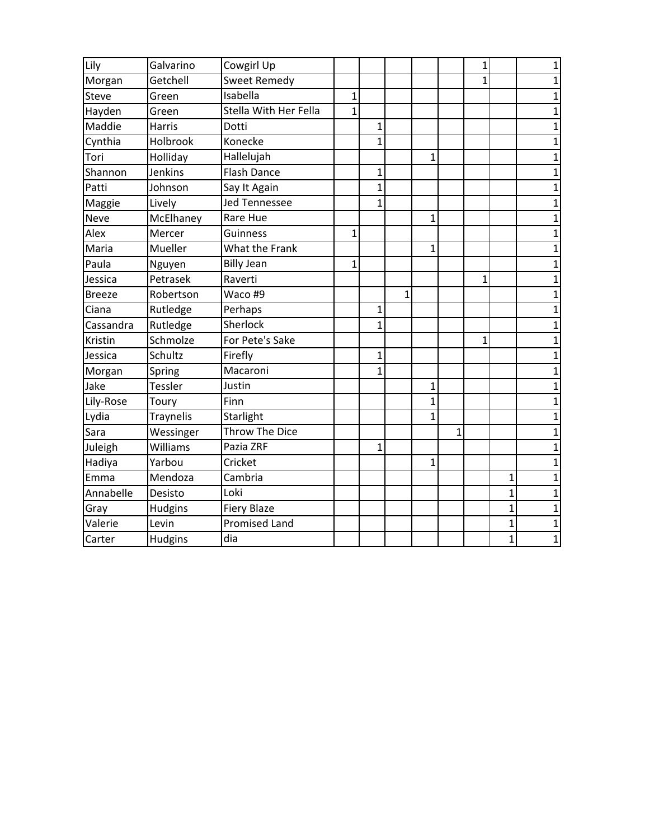| Lily          | Galvarino        | Cowgirl Up            |              |                |   |                |              | $\mathbf{1}$ |                | 1              |
|---------------|------------------|-----------------------|--------------|----------------|---|----------------|--------------|--------------|----------------|----------------|
| Morgan        | Getchell         | <b>Sweet Remedy</b>   |              |                |   |                |              | 1            |                | $\mathbf{1}$   |
| Steve         | Green            | Isabella              | $\mathbf{1}$ |                |   |                |              |              |                | 1              |
| Hayden        | Green            | Stella With Her Fella | $\mathbf{1}$ |                |   |                |              |              |                | 1              |
| Maddie        | Harris           | Dotti                 |              | $\mathbf{1}$   |   |                |              |              |                | $\mathbf{1}$   |
| Cynthia       | Holbrook         | Konecke               |              | $\mathbf{1}$   |   |                |              |              |                | $\mathbf 1$    |
| Tori          | Holliday         | Hallelujah            |              |                |   | $\mathbf{1}$   |              |              |                | $\overline{1}$ |
| Shannon       | Jenkins          | <b>Flash Dance</b>    |              | $\overline{1}$ |   |                |              |              |                | $\overline{1}$ |
| Patti         | Johnson          | Say It Again          |              | $\mathbf{1}$   |   |                |              |              |                | 1              |
| Maggie        | Lively           | <b>Jed Tennessee</b>  |              | $\mathbf{1}$   |   |                |              |              |                | 1              |
| <b>Neve</b>   | McElhaney        | Rare Hue              |              |                |   | $\mathbf{1}$   |              |              |                | 1              |
| Alex          | Mercer           | Guinness              | $\mathbf{1}$ |                |   |                |              |              |                | $\mathbf 1$    |
| Maria         | Mueller          | What the Frank        |              |                |   | $\overline{1}$ |              |              |                | $\overline{1}$ |
| Paula         | Nguyen           | <b>Billy Jean</b>     | $\mathbf{1}$ |                |   |                |              |              |                | $\mathbf{1}$   |
| Jessica       | Petrasek         | Raverti               |              |                |   |                |              | 1            |                | 1              |
| <b>Breeze</b> | Robertson        | Waco #9               |              |                | 1 |                |              |              |                | 1              |
| Ciana         | Rutledge         | Perhaps               |              | $\mathbf{1}$   |   |                |              |              |                | $\overline{1}$ |
| Cassandra     | Rutledge         | Sherlock              |              | $\overline{1}$ |   |                |              |              |                | $\mathbf 1$    |
| Kristin       | Schmolze         | For Pete's Sake       |              |                |   |                |              | 1            |                | 1              |
| Jessica       | Schultz          | Firefly               |              | 1              |   |                |              |              |                | 1              |
| Morgan        | Spring           | Macaroni              |              | $\mathbf{1}$   |   |                |              |              |                | 1              |
| Jake          | Tessler          | Justin                |              |                |   | $\mathbf{1}$   |              |              |                | 1              |
| Lily-Rose     | Toury            | Finn                  |              |                |   | $\mathbf{1}$   |              |              |                | 1              |
| Lydia         | <b>Traynelis</b> | Starlight             |              |                |   | 1              |              |              |                | 1              |
| Sara          | Wessinger        | Throw The Dice        |              |                |   |                | $\mathbf{1}$ |              |                | 1              |
| Juleigh       | Williams         | Pazia ZRF             |              | $\mathbf{1}$   |   |                |              |              |                | $\mathbf{1}$   |
| Hadiya        | Yarbou           | Cricket               |              |                |   | $\mathbf{1}$   |              |              |                | $\overline{1}$ |
| Emma          | Mendoza          | Cambria               |              |                |   |                |              |              | 1              | 1              |
| Annabelle     | Desisto          | Loki                  |              |                |   |                |              |              | $\mathbf{1}$   | 1              |
| Gray          | Hudgins          | <b>Fiery Blaze</b>    |              |                |   |                |              |              | $\mathbf{1}$   | $\overline{1}$ |
| Valerie       | Levin            | <b>Promised Land</b>  |              |                |   |                |              |              | 1              | $\mathbf{1}$   |
| Carter        | Hudgins          | dia                   |              |                |   |                |              |              | $\overline{1}$ | $\overline{1}$ |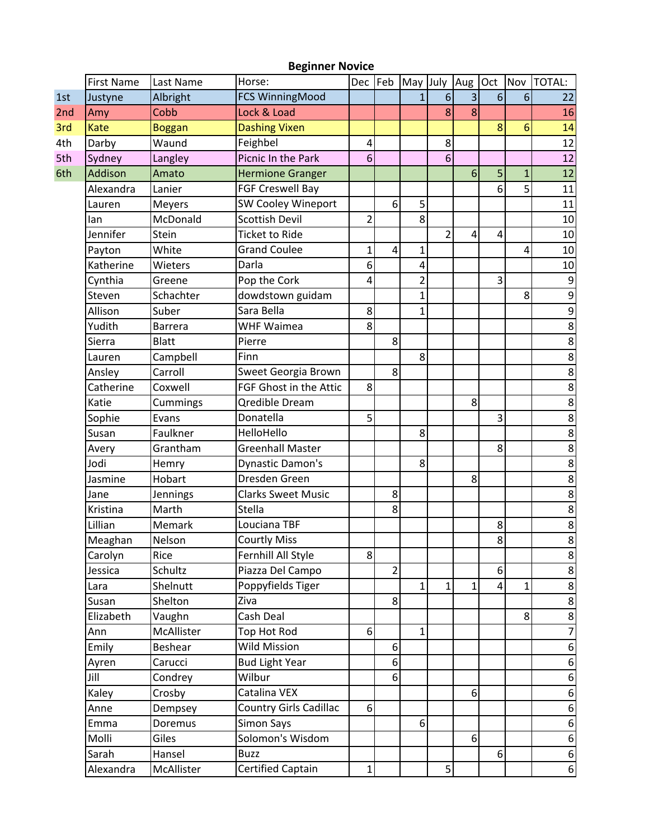|     | <b>First Name</b> | Last Name       | יטוייטו וטעוש<br>Horse:       | Dec Feb        |                | May July       |                | Aug Oct        |   | Nov          | <b>TOTAL:</b>    |
|-----|-------------------|-----------------|-------------------------------|----------------|----------------|----------------|----------------|----------------|---|--------------|------------------|
| 1st | Justyne           | Albright        | FCS WinningMood               |                |                | $\mathbf{1}$   | 6              | $\overline{3}$ | 6 | 6            | 22               |
| 2nd | Amy               | Cobb            | Lock & Load                   |                |                |                | 8              | 8              |   |              | 16               |
| 3rd | Kate              | <b>Boggan</b>   | <b>Dashing Vixen</b>          |                |                |                |                |                | 8 | 6            | 14               |
| 4th | Darby             | Waund           | Feighbel                      | 4              |                |                | 8              |                |   |              | 12               |
| 5th | Sydney            | Langley         | Picnic In the Park            | 6              |                |                | 6              |                |   |              | 12               |
| 6th | Addison           | Amato           | <b>Hermione Granger</b>       |                |                |                |                | 6              | 5 | $\mathbf{1}$ | 12               |
|     | Alexandra         | Lanier          | <b>FGF Creswell Bay</b>       |                |                |                |                |                | 6 | 5            | 11               |
|     | Lauren            | <b>Meyers</b>   | SW Cooley Wineport            |                | 6              | 5              |                |                |   |              | 11               |
|     | lan               | McDonald        | <b>Scottish Devil</b>         | $\overline{2}$ |                | 8              |                |                |   |              | 10               |
|     | Jennifer          | Stein           | <b>Ticket to Ride</b>         |                |                |                | $\overline{2}$ | 4              | 4 |              | 10               |
|     | Payton            | White           | <b>Grand Coulee</b>           | 1              | 4              | $\mathbf{1}$   |                |                |   | 4            | 10               |
|     | Katherine         | Wieters         | Darla                         | 6              |                | $\pmb{4}$      |                |                |   |              | 10               |
|     | Cynthia           | Greene          | Pop the Cork                  | 4              |                | $\overline{2}$ |                |                | 3 |              | 9                |
|     | Steven            | Schachter       | dowdstown guidam              |                |                | $\overline{1}$ |                |                |   | 8            | $\overline{9}$   |
|     | Allison           | Suber           | Sara Bella                    | 8              |                | 1              |                |                |   |              | 9                |
|     | Yudith            | <b>Barrera</b>  | <b>WHF Waimea</b>             | 8              |                |                |                |                |   |              | $\overline{8}$   |
|     | Sierra            | <b>Blatt</b>    | Pierre                        |                | 8              |                |                |                |   |              | 8                |
|     | Lauren            | Campbell        | Finn                          |                |                | 8              |                |                |   |              | 8                |
|     | Ansley            | Carroll         | Sweet Georgia Brown           |                | 8              |                |                |                |   |              | $\overline{8}$   |
|     | Catherine         | Coxwell         | FGF Ghost in the Attic        | 8              |                |                |                |                |   |              | 8                |
|     | Katie             | Cummings        | <b>Qredible Dream</b>         |                |                |                |                | 8              |   |              | $\overline{8}$   |
|     | Sophie            | Evans           | Donatella                     | 5              |                |                |                |                | 3 |              | 8                |
|     | Susan             | Faulkner        | HelloHello                    |                |                | 8              |                |                |   |              | 8                |
|     | Avery             | Grantham        | <b>Greenhall Master</b>       |                |                |                |                |                | 8 |              | 8                |
|     | Jodi              | Hemry           | Dynastic Damon's              |                |                | 8              |                |                |   |              | 8                |
|     | Jasmine           | Hobart          | Dresden Green                 |                |                |                |                | 8              |   |              | $\overline{8}$   |
|     | Jane              | <b>Jennings</b> | <b>Clarks Sweet Music</b>     |                | 8              |                |                |                |   |              | 8                |
|     | Kristina          | Marth           | Stella                        |                | 8              |                |                |                |   |              | 8                |
|     | Lillian           | Memark          | Louciana TBF                  |                |                |                |                |                | 8 |              | 8                |
|     | Meaghan           | Nelson          | <b>Courtly Miss</b>           |                |                |                |                |                | 8 |              | 8                |
|     | Carolyn           | Rice            | Fernhill All Style            | 8 <sup>1</sup> |                |                |                |                |   |              | 8                |
|     | Jessica           | Schultz         | Piazza Del Campo              |                | $\overline{2}$ |                |                |                | 6 |              | 8                |
|     | Lara              | Shelnutt        | Poppyfields Tiger             |                |                | $\mathbf{1}$   | $\mathbf{1}$   | 1              | 4 | $\mathbf{1}$ | 8                |
|     | Susan             | Shelton         | Ziva                          |                | 8              |                |                |                |   |              | $\bf 8$          |
|     | Elizabeth         | Vaughn          | Cash Deal                     |                |                |                |                |                |   | 8            | $\bf 8$          |
|     | Ann               | McAllister      | Top Hot Rod                   | 6 <sup>1</sup> |                | $\mathbf{1}$   |                |                |   |              | $\overline{7}$   |
|     | Emily             | Beshear         | Wild Mission                  |                | 6              |                |                |                |   |              | 6                |
|     | Ayren             | Carucci         | <b>Bud Light Year</b>         |                | 6              |                |                |                |   |              | 6                |
|     | Jill              | Condrey         | Wilbur                        |                | 6              |                |                |                |   |              | $\boldsymbol{6}$ |
|     | Kaley             | Crosby          | Catalina VEX                  |                |                |                |                | 6              |   |              | $\boldsymbol{6}$ |
|     | Anne              | Dempsey         | <b>Country Girls Cadillac</b> | 6 <sup>1</sup> |                |                |                |                |   |              | $\boldsymbol{6}$ |
|     | Emma              | Doremus         | Simon Says                    |                |                | 6              |                |                |   |              | $\boldsymbol{6}$ |
|     | Molli             | Giles           | Solomon's Wisdom              |                |                |                |                | $6\vert$       |   |              | 6                |
|     | Sarah             | Hansel          | <b>Buzz</b>                   |                |                |                |                |                | 6 |              | $\boldsymbol{6}$ |
|     | Alexandra         | McAllister      | Certified Captain             | 1              |                |                | 5              |                |   |              | $6 \mid$         |

## **Beginner Novice**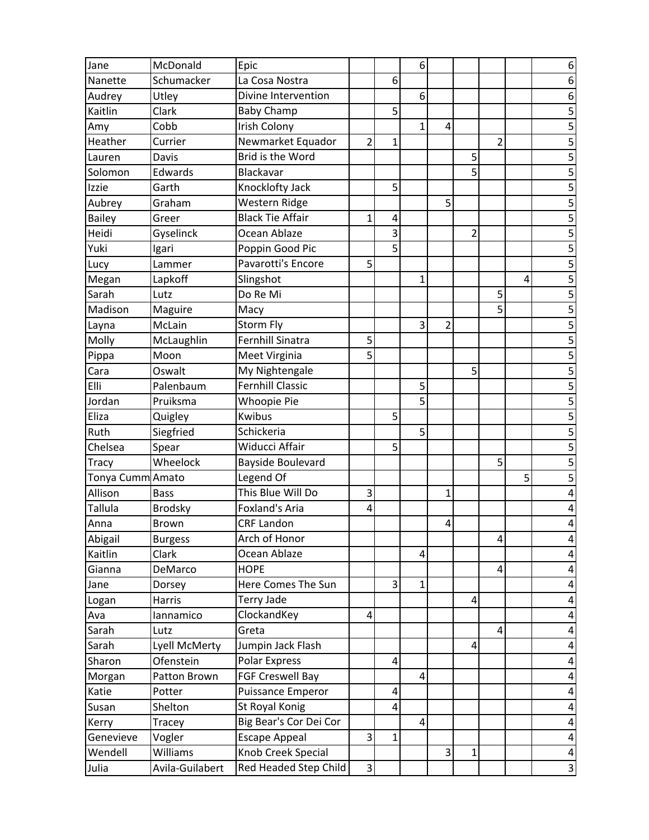| Jane             | McDonald        | Epic                     |                         |   | 6              |                |                |                |   | 6                       |
|------------------|-----------------|--------------------------|-------------------------|---|----------------|----------------|----------------|----------------|---|-------------------------|
| Nanette          | Schumacker      | La Cosa Nostra           |                         | 6 |                |                |                |                |   | 6                       |
| Audrey           | Utley           | Divine Intervention      |                         |   | 6              |                |                |                |   | 6                       |
| Kaitlin          | Clark           | <b>Baby Champ</b>        |                         | 5 |                |                |                |                |   | 5                       |
| Amy              | Cobb            | Irish Colony             |                         |   | $\mathbf{1}$   | 4              |                |                |   | 5                       |
| Heather          | Currier         | Newmarket Equador        | $\overline{2}$          | 1 |                |                |                | $\overline{2}$ |   | $\overline{\mathbf{5}}$ |
| Lauren           | Davis           | Brid is the Word         |                         |   |                |                | 5              |                |   | 5                       |
| Solomon          | Edwards         | Blackavar                |                         |   |                |                | 5              |                |   | 5                       |
| Izzie            | Garth           | Knocklofty Jack          |                         | 5 |                |                |                |                |   | $\overline{5}$          |
| Aubrey           | Graham          | Western Ridge            |                         |   |                | 5              |                |                |   | 5                       |
| <b>Bailey</b>    | Greer           | <b>Black Tie Affair</b>  | 1                       | 4 |                |                |                |                |   | $\overline{\mathbf{5}}$ |
| Heidi            | Gyselinck       | Ocean Ablaze             |                         | 3 |                |                | $\overline{c}$ |                |   | $\overline{5}$          |
| Yuki             | Igari           | Poppin Good Pic          |                         | 5 |                |                |                |                |   | 5                       |
| Lucy             | Lammer          | Pavarotti's Encore       | 5                       |   |                |                |                |                |   | $\overline{5}$          |
| Megan            | Lapkoff         | Slingshot                |                         |   | 1              |                |                |                | 4 | 5                       |
| Sarah            | Lutz            | Do Re Mi                 |                         |   |                |                |                | 5              |   | $\overline{\mathbf{5}}$ |
| Madison          | Maguire         | Macy                     |                         |   |                |                |                | 5              |   | $\overline{5}$          |
| Layna            | McLain          | Storm Fly                |                         |   | 3              | $\overline{2}$ |                |                |   | 5                       |
| Molly            | McLaughlin      | <b>Fernhill Sinatra</b>  | 5                       |   |                |                |                |                |   | $\overline{5}$          |
| Pippa            | Moon            | Meet Virginia            | 5                       |   |                |                |                |                |   | 5                       |
| Cara             | Oswalt          | My Nightengale           |                         |   |                |                | 5              |                |   | $\overline{\mathbf{5}}$ |
| Elli             | Palenbaum       | <b>Fernhill Classic</b>  |                         |   | 5              |                |                |                |   | 5                       |
| Jordan           | Pruiksma        | <b>Whoopie Pie</b>       |                         |   | 5              |                |                |                |   | 5                       |
| Eliza            | Quigley         | <b>Kwibus</b>            |                         | 5 |                |                |                |                |   | $\overline{5}$          |
| Ruth             | Siegfried       | Schickeria               |                         |   | 5              |                |                |                |   | 5                       |
| Chelsea          | Spear           | Widucci Affair           |                         | 5 |                |                |                |                |   | $\overline{\mathbf{5}}$ |
| <b>Tracy</b>     | Wheelock        | <b>Bayside Boulevard</b> |                         |   |                |                |                | 5              |   | $\overline{5}$          |
| Tonya Cumm Amato |                 | Legend Of                |                         |   |                |                |                |                | 5 | 5                       |
| Allison          | <b>Bass</b>     | This Blue Will Do        | 3                       |   |                | $\mathbf{1}$   |                |                |   | $\overline{\mathbf{4}}$ |
| Tallula          | <b>Brodsky</b>  | <b>Foxland's Aria</b>    | 4                       |   |                |                |                |                |   | 4                       |
| Anna             | <b>Brown</b>    | <b>CRF Landon</b>        |                         |   |                | 4              |                |                |   | 4                       |
| Abigail          | <b>Burgess</b>  | Arch of Honor            |                         |   |                |                |                | 4              |   | $\overline{\mathbf{r}}$ |
| Kaitlin          | Clark           | Ocean Ablaze             |                         |   | 4              |                |                |                |   | 4                       |
| Gianna           | DeMarco         | <b>HOPE</b>              |                         |   |                |                |                | $\overline{4}$ |   | 4                       |
| Jane             | Dorsey          | Here Comes The Sun       |                         | 3 | $\mathbf{1}$   |                |                |                |   | 4                       |
| Logan            | Harris          | Terry Jade               |                         |   |                |                | 4              |                |   | 4                       |
| Ava              | lannamico       | ClockandKey              | 4                       |   |                |                |                |                |   | 4                       |
| Sarah            | Lutz            | Greta                    |                         |   |                |                |                | 4              |   | 4                       |
| Sarah            | Lyell McMerty   | Jumpin Jack Flash        |                         |   |                |                | 4              |                |   | 4                       |
| Sharon           | Ofenstein       | Polar Express            |                         | 4 |                |                |                |                |   | 4                       |
| Morgan           | Patton Brown    | FGF Creswell Bay         |                         |   | 4              |                |                |                |   | 4                       |
| Katie            | Potter          | <b>Puissance Emperor</b> |                         | 4 |                |                |                |                |   | 4                       |
| Susan            | Shelton         | St Royal Konig           |                         | 4 |                |                |                |                |   | 4                       |
| Kerry            | Tracey          | Big Bear's Cor Dei Cor   |                         |   | $\overline{4}$ |                |                |                |   | 4                       |
| Genevieve        | Vogler          | <b>Escape Appeal</b>     | $\overline{\mathbf{3}}$ | 1 |                |                |                |                |   | 4                       |
| Wendell          | Williams        | Knob Creek Special       |                         |   |                | $\vert$ 3      | 1              |                |   | $\overline{\mathbf{4}}$ |
| Julia            | Avila-Guilabert | Red Headed Step Child    | 3                       |   |                |                |                |                |   | $\mathbf{3}$            |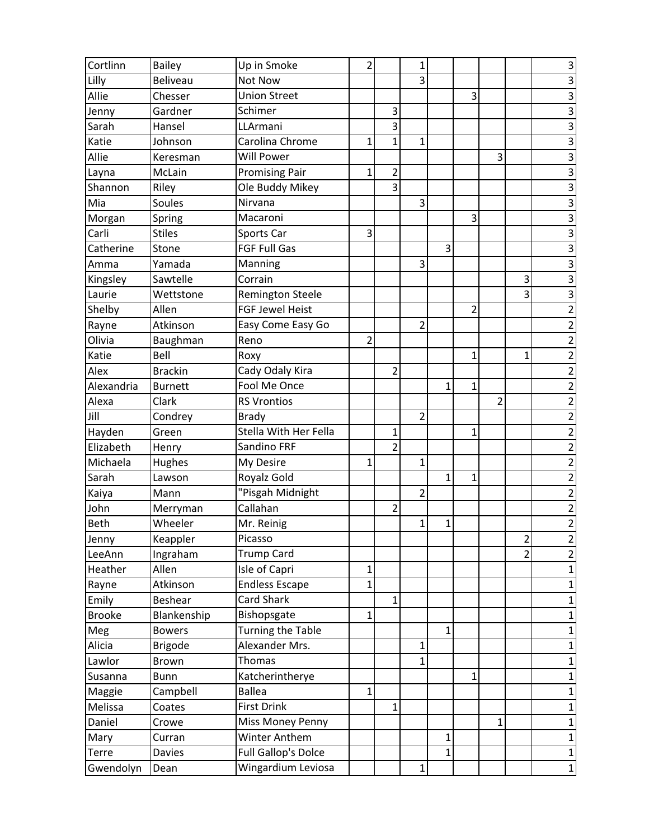| Cortlinn      | <b>Bailey</b>   | Up in Smoke                | $\overline{2}$ |                | 1              |              |   |                |                | 3              |
|---------------|-----------------|----------------------------|----------------|----------------|----------------|--------------|---|----------------|----------------|----------------|
| Lilly         | <b>Beliveau</b> | Not Now                    |                |                | 3              |              |   |                |                | 3              |
| Allie         | Chesser         | <b>Union Street</b>        |                |                |                |              | 3 |                |                | $\overline{3}$ |
| Jenny         | Gardner         | Schimer                    |                | 3              |                |              |   |                |                | $\overline{3}$ |
| Sarah         | Hansel          | LLArmani                   |                | 3              |                |              |   |                |                | $\overline{3}$ |
| Katie         | Johnson         | Carolina Chrome            | 1              | 1              | $\mathbf 1$    |              |   |                |                | 3              |
| Allie         | Keresman        | <b>Will Power</b>          |                |                |                |              |   | 3              |                | 3              |
| Layna         | McLain          | <b>Promising Pair</b>      | 1              | $\overline{c}$ |                |              |   |                |                | $\overline{3}$ |
| Shannon       | Riley           | Ole Buddy Mikey            |                | 3              |                |              |   |                |                | $\overline{3}$ |
| Mia           | Soules          | Nirvana                    |                |                | 3              |              |   |                |                | $\overline{3}$ |
| Morgan        | Spring          | Macaroni                   |                |                |                |              | 3 |                |                | $\overline{3}$ |
| Carli         | <b>Stiles</b>   | Sports Car                 | 3              |                |                |              |   |                |                | $\overline{3}$ |
| Catherine     | Stone           | <b>FGF Full Gas</b>        |                |                |                | 3            |   |                |                | $\overline{3}$ |
| Amma          | Yamada          | Manning                    |                |                | 3              |              |   |                |                | $\overline{3}$ |
| Kingsley      | Sawtelle        | Corrain                    |                |                |                |              |   |                | 3              | $\overline{3}$ |
| Laurie        | Wettstone       | <b>Remington Steele</b>    |                |                |                |              |   |                | 3              | $\overline{3}$ |
| Shelby        | Allen           | <b>FGF Jewel Heist</b>     |                |                |                |              | 2 |                |                | $\overline{2}$ |
| Rayne         | Atkinson        | Easy Come Easy Go          |                |                | $\overline{2}$ |              |   |                |                | $\overline{2}$ |
| Olivia        | Baughman        | Reno                       | $\overline{2}$ |                |                |              |   |                |                | $\overline{c}$ |
| Katie         | Bell            | Roxy                       |                |                |                |              | 1 |                | 1              | $\overline{2}$ |
| Alex          | <b>Brackin</b>  | Cady Odaly Kira            |                | $\overline{2}$ |                |              |   |                |                | $\overline{2}$ |
| Alexandria    | <b>Burnett</b>  | Fool Me Once               |                |                |                | 1            | 1 |                |                | $\overline{2}$ |
| Alexa         | Clark           | <b>RS Vrontios</b>         |                |                |                |              |   | $\overline{2}$ |                | $\overline{2}$ |
| Jill          | Condrey         | <b>Brady</b>               |                |                | $\overline{2}$ |              |   |                |                | $\overline{c}$ |
| Hayden        | Green           | Stella With Her Fella      |                | 1              |                |              | 1 |                |                | $\overline{2}$ |
| Elizabeth     | Henry           | Sandino FRF                |                | $\overline{2}$ |                |              |   |                |                | $\overline{c}$ |
| Michaela      | Hughes          | My Desire                  | 1              |                | 1              |              |   |                |                | $\overline{c}$ |
| Sarah         | Lawson          | Royalz Gold                |                |                |                | 1            | 1 |                |                | $\overline{c}$ |
| Kaiya         | Mann            | "Pisgah Midnight           |                |                | $\overline{2}$ |              |   |                |                | $\overline{2}$ |
| John          | Merryman        | Callahan                   |                | $\overline{2}$ |                |              |   |                |                | $\overline{2}$ |
| <b>Beth</b>   | Wheeler         | Mr. Reinig                 |                |                | $\mathbf{1}$   | 1            |   |                |                | $\overline{2}$ |
| Jenny         | Keappler        | Picasso                    |                |                |                |              |   |                | $\overline{2}$ | $\overline{2}$ |
| LeeAnn        | Ingraham        | <b>Trump Card</b>          |                |                |                |              |   |                | 2              | $\overline{2}$ |
| Heather       | Allen           | Isle of Capri              | 1              |                |                |              |   |                |                | $\mathbf{1}$   |
| Rayne         | Atkinson        | <b>Endless Escape</b>      | $\mathbf 1$    |                |                |              |   |                |                | $\mathbf{1}$   |
| Emily         | Beshear         | <b>Card Shark</b>          |                | 1              |                |              |   |                |                | 1              |
| <b>Brooke</b> | Blankenship     | Bishopsgate                | 1              |                |                |              |   |                |                | $\mathbf{1}$   |
| Meg           | <b>Bowers</b>   | <b>Turning the Table</b>   |                |                |                | $\mathbf{1}$ |   |                |                | $\mathbf{1}$   |
| Alicia        | <b>Brigode</b>  | Alexander Mrs.             |                |                | $\mathbf{1}$   |              |   |                |                | 1              |
| Lawlor        | Brown           | Thomas                     |                |                | $\mathbf{1}$   |              |   |                |                | 1              |
| Susanna       | <b>Bunn</b>     | Katcherintherye            |                |                |                |              | 1 |                |                | $\mathbf{1}$   |
| Maggie        | Campbell        | <b>Ballea</b>              | 1              |                |                |              |   |                |                | $\mathbf{1}$   |
| Melissa       | Coates          | <b>First Drink</b>         |                | 1              |                |              |   |                |                | $\mathbf{1}$   |
| Daniel        | Crowe           | Miss Money Penny           |                |                |                |              |   | 1              |                | $\mathbf{1}$   |
| Mary          | Curran          | Winter Anthem              |                |                |                | $\mathbf 1$  |   |                |                | $\mathbf{1}$   |
| Terre         | Davies          | <b>Full Gallop's Dolce</b> |                |                |                | $\mathbf{1}$ |   |                |                | $\mathbf 1$    |
| Gwendolyn     | Dean            | Wingardium Leviosa         |                |                | $\mathbf{1}$   |              |   |                |                | $\mathbf 1$    |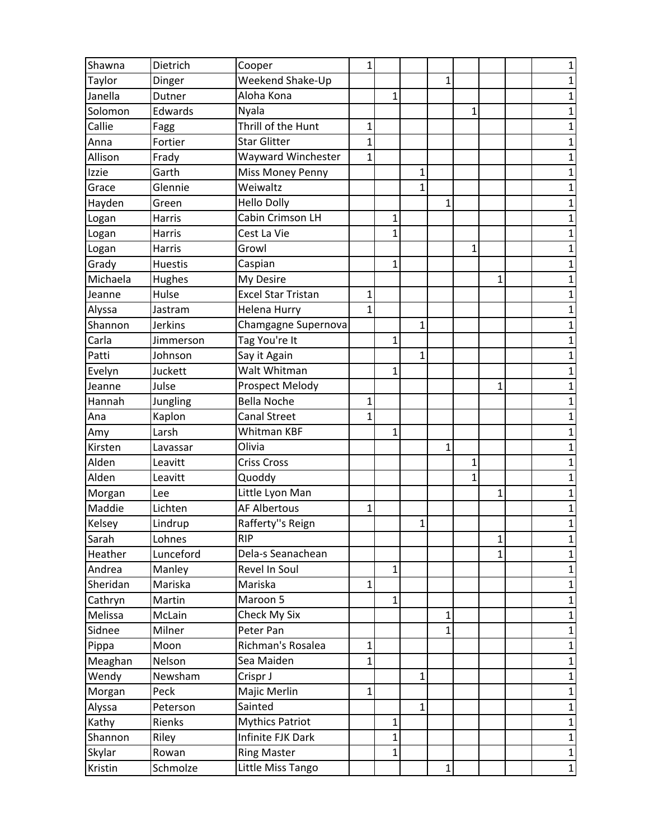| Shawna   | Dietrich       | Cooper                    | 1            |   |              |              |   |   | 1            |
|----------|----------------|---------------------------|--------------|---|--------------|--------------|---|---|--------------|
| Taylor   | Dinger         | Weekend Shake-Up          |              |   |              | 1            |   |   | 1            |
| Janella  | Dutner         | Aloha Kona                |              | 1 |              |              |   |   | 1            |
| Solomon  | Edwards        | Nyala                     |              |   |              |              | 1 |   | $\mathbf 1$  |
| Callie   | Fagg           | Thrill of the Hunt        | 1            |   |              |              |   |   | 1            |
| Anna     | Fortier        | <b>Star Glitter</b>       | 1            |   |              |              |   |   | 1            |
| Allison  | Frady          | Wayward Winchester        | 1            |   |              |              |   |   | 1            |
| Izzie    | Garth          | Miss Money Penny          |              |   | 1            |              |   |   | 1            |
| Grace    | Glennie        | Weiwaltz                  |              |   | 1            |              |   |   | $\mathbf 1$  |
| Hayden   | Green          | <b>Hello Dolly</b>        |              |   |              | 1            |   |   | 1            |
| Logan    | Harris         | Cabin Crimson LH          |              | 1 |              |              |   |   | 1            |
| Logan    | Harris         | Cest La Vie               |              | 1 |              |              |   |   | 1            |
| Logan    | Harris         | Growl                     |              |   |              |              | 1 |   | $\mathbf 1$  |
| Grady    | <b>Huestis</b> | Caspian                   |              | 1 |              |              |   |   | $\mathbf 1$  |
| Michaela | Hughes         | My Desire                 |              |   |              |              |   | 1 | 1            |
| Jeanne   | Hulse          | <b>Excel Star Tristan</b> | 1            |   |              |              |   |   | 1            |
| Alyssa   | Jastram        | <b>Helena Hurry</b>       | 1            |   |              |              |   |   | 1            |
| Shannon  | <b>Jerkins</b> | Chamgagne Supernova       |              |   | 1            |              |   |   | $\mathbf 1$  |
| Carla    | Jimmerson      | Tag You're It             |              | 1 |              |              |   |   | $\mathbf 1$  |
| Patti    | Johnson        | Say it Again              |              |   | $\mathbf{1}$ |              |   |   | 1            |
| Evelyn   | Juckett        | Walt Whitman              |              | 1 |              |              |   |   | 1            |
| Jeanne   | Julse          | Prospect Melody           |              |   |              |              |   | 1 | 1            |
| Hannah   | Jungling       | <b>Bella Noche</b>        | 1            |   |              |              |   |   | 1            |
| Ana      | Kaplon         | <b>Canal Street</b>       | 1            |   |              |              |   |   | $\mathbf 1$  |
| Amy      | Larsh          | Whitman KBF               |              | 1 |              |              |   |   | 1            |
| Kirsten  | Lavassar       | Olivia                    |              |   |              | 1            |   |   | 1            |
| Alden    | Leavitt        | <b>Criss Cross</b>        |              |   |              |              | 1 |   | 1            |
| Alden    | Leavitt        | Quoddy                    |              |   |              |              | 1 |   | $\mathbf 1$  |
| Morgan   | Lee            | Little Lyon Man           |              |   |              |              |   | 1 | $\mathbf 1$  |
| Maddie   | Lichten        | <b>AF Albertous</b>       | 1            |   |              |              |   |   | 1            |
| Kelsey   | Lindrup        | Rafferty"s Reign          |              |   | 1            |              |   |   | 1            |
| Sarah    | Lohnes         | <b>RIP</b>                |              |   |              |              |   | 1 | $\mathbf{1}$ |
| Heather  | Lunceford      | Dela-s Seanachean         |              |   |              |              |   | 1 | $\mathbf{1}$ |
| Andrea   | Manley         | Revel In Soul             |              | 1 |              |              |   |   | 1            |
| Sheridan | Mariska        | Mariska                   | $\mathbf 1$  |   |              |              |   |   | $\mathbf{1}$ |
| Cathryn  | Martin         | Maroon 5                  |              | 1 |              |              |   |   | 1            |
| Melissa  | McLain         | Check My Six              |              |   |              | $\mathbf{1}$ |   |   | $\mathbf{1}$ |
| Sidnee   | Milner         | Peter Pan                 |              |   |              | 1            |   |   | $\mathbf{1}$ |
| Pippa    | Moon           | Richman's Rosalea         | 1            |   |              |              |   |   | 1            |
| Meaghan  | Nelson         | Sea Maiden                | $\mathbf 1$  |   |              |              |   |   | $\mathbf{1}$ |
| Wendy    | Newsham        | Crispr J                  |              |   | $\mathbf{1}$ |              |   |   | $\mathbf{1}$ |
| Morgan   | Peck           | Majic Merlin              | $\mathbf{1}$ |   |              |              |   |   | $\mathbf{1}$ |
| Alyssa   | Peterson       | Sainted                   |              |   | $\mathbf{1}$ |              |   |   | $\mathbf{1}$ |
| Kathy    | Rienks         | <b>Mythics Patriot</b>    |              | 1 |              |              |   |   | $\mathbf{1}$ |
| Shannon  | Riley          | Infinite FJK Dark         |              | 1 |              |              |   |   | $\mathbf{1}$ |
| Skylar   | Rowan          | <b>Ring Master</b>        |              | 1 |              |              |   |   | $\mathbf 1$  |
| Kristin  | Schmolze       | Little Miss Tango         |              |   |              | $\mathbf{1}$ |   |   | $1\vert$     |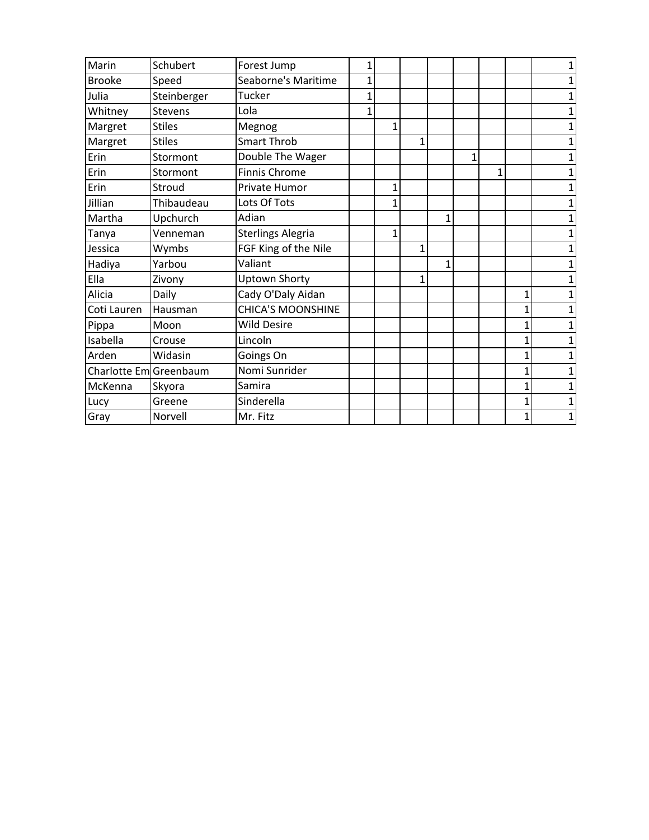| Marin                 | Schubert       | Forest Jump              | 1 |   |   |   |   |   |              |  |
|-----------------------|----------------|--------------------------|---|---|---|---|---|---|--------------|--|
| <b>Brooke</b>         | Speed          | Seaborne's Maritime      |   |   |   |   |   |   |              |  |
| Julia                 | Steinberger    | Tucker                   |   |   |   |   |   |   |              |  |
| Whitney               | <b>Stevens</b> | Lola                     | 1 |   |   |   |   |   |              |  |
| Margret               | <b>Stiles</b>  | Megnog                   |   | 1 |   |   |   |   |              |  |
| Margret               | <b>Stiles</b>  | <b>Smart Throb</b>       |   |   |   |   |   |   |              |  |
| Erin                  | Stormont       | Double The Wager         |   |   |   |   | 1 |   |              |  |
| Erin                  | Stormont       | <b>Finnis Chrome</b>     |   |   |   |   |   | 1 |              |  |
| Erin                  | Stroud         | Private Humor            |   | 1 |   |   |   |   |              |  |
| Jillian               | Thibaudeau     | Lots Of Tots             |   | 1 |   |   |   |   |              |  |
| Martha                | Upchurch       | Adian                    |   |   |   | 1 |   |   |              |  |
| Tanya                 | Venneman       | <b>Sterlings Alegria</b> |   | 1 |   |   |   |   |              |  |
| Jessica               | Wymbs          | FGF King of the Nile     |   |   | 1 |   |   |   |              |  |
| Hadiya                | Yarbou         | Valiant                  |   |   |   | 1 |   |   |              |  |
| Ella                  | Zivony         | <b>Uptown Shorty</b>     |   |   | 1 |   |   |   |              |  |
| Alicia                | Daily          | Cady O'Daly Aidan        |   |   |   |   |   |   | 1            |  |
| Coti Lauren           | Hausman        | <b>CHICA'S MOONSHINE</b> |   |   |   |   |   |   | 1            |  |
| Pippa                 | Moon           | <b>Wild Desire</b>       |   |   |   |   |   |   | 1            |  |
| Isabella              | Crouse         | Lincoln                  |   |   |   |   |   |   | 1            |  |
| Arden                 | Widasin        | Goings On                |   |   |   |   |   |   | 1            |  |
| Charlotte EmGreenbaum |                | Nomi Sunrider            |   |   |   |   |   |   | $\mathbf{1}$ |  |
| McKenna               | Skyora         | Samira                   |   |   |   |   |   |   | 1            |  |
| Lucy                  | Greene         | Sinderella               |   |   |   |   |   |   | 1            |  |
| Gray                  | Norvell        | Mr. Fitz                 |   |   |   |   |   |   | $\mathbf{1}$ |  |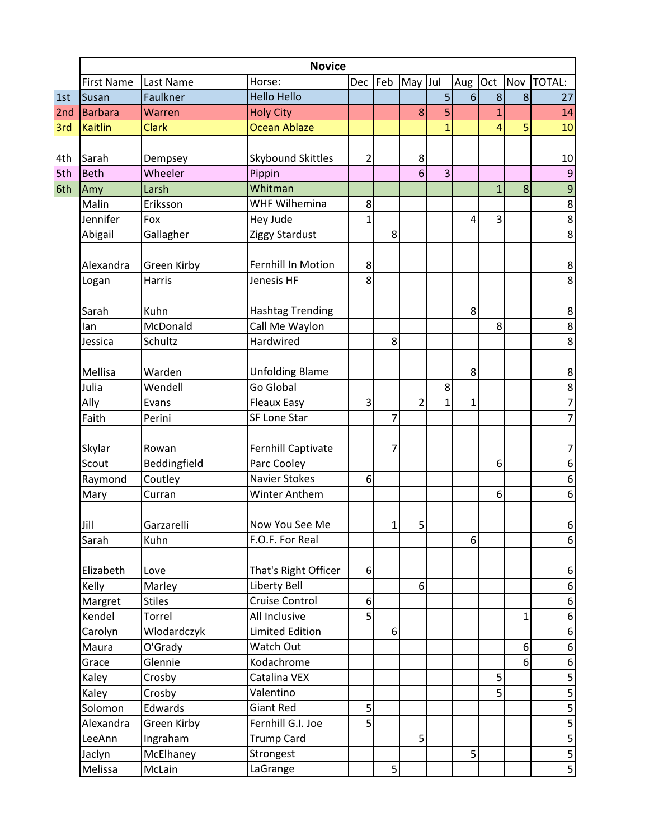|     | <b>Novice</b>     |               |                         |              |     |                |                |              |              |                |                    |
|-----|-------------------|---------------|-------------------------|--------------|-----|----------------|----------------|--------------|--------------|----------------|--------------------|
|     | <b>First Name</b> | Last Name     | Horse:                  | <b>Dec</b>   | Feb | May Jul        |                | Aug          | Oct          |                | Nov TOTAL:         |
| 1st | Susan             | Faulkner      | <b>Hello Hello</b>      |              |     |                | 5              | 6            | 8            | 8              | 27                 |
| 2nd | <b>Barbara</b>    | Warren        | <b>Holy City</b>        |              |     | 8              | 5              |              | $\mathbf{1}$ |                | 14                 |
| 3rd | <b>Kaitlin</b>    | <b>Clark</b>  | Ocean Ablaze            |              |     |                | $\overline{1}$ |              | 4            | 5              | 10                 |
|     |                   |               |                         |              |     |                |                |              |              |                |                    |
| 4th | Sarah             | Dempsey       | Skybound Skittles       | 2            |     | 8              |                |              |              |                | 10                 |
| 5th | <b>Beth</b>       | Wheeler       | Pippin                  |              |     | 6              | 3              |              |              |                | $\boldsymbol{9}$   |
| 6th | Amy               | Larsh         | Whitman                 |              |     |                |                |              | $\mathbf{1}$ | 8              | $\overline{9}$     |
|     | Malin             | Eriksson      | <b>WHF Wilhemina</b>    | 8            |     |                |                |              |              |                | 8                  |
|     | Jennifer          | Fox           | Hey Jude                | $\mathbf{1}$ |     |                |                | 4            | 3            |                | $\overline{8}$     |
|     | Abigail           | Gallagher     | Ziggy Stardust          |              | 8   |                |                |              |              |                | $\overline{8}$     |
|     | Alexandra         | Green Kirby   | Fernhill In Motion      | 8            |     |                |                |              |              |                | 8                  |
|     | Logan             | Harris        | Jenesis HF              | 8            |     |                |                |              |              |                | 8                  |
|     | Sarah             | Kuhn          | <b>Hashtag Trending</b> |              |     |                |                | 8            |              |                | 8                  |
|     | lan               | McDonald      | Call Me Waylon          |              |     |                |                |              | 8            |                | $\overline{8}$     |
|     | Jessica           | Schultz       | Hardwired               |              | 8   |                |                |              |              |                | $\overline{8}$     |
|     |                   |               |                         |              |     |                |                |              |              |                |                    |
|     | Mellisa           | Warden        | <b>Unfolding Blame</b>  |              |     |                |                | 8            |              |                | 8                  |
|     | Julia             | Wendell       | Go Global               |              |     |                | 8              |              |              |                | $\overline{\bf 8}$ |
|     | Ally              | Evans         | <b>Fleaux Easy</b>      | 3            |     | $\overline{2}$ | $\mathbf{1}$   | $\mathbf{1}$ |              |                | $\overline{7}$     |
|     | Faith             | Perini        | <b>SF Lone Star</b>     |              | 7   |                |                |              |              |                | $\overline{7}$     |
|     | Skylar            | Rowan         | Fernhill Captivate      |              | 7   |                |                |              |              |                | 7                  |
|     | Scout             | Beddingfield  | Parc Cooley             |              |     |                |                |              | 6            |                | 6                  |
|     | Raymond           | Coutley       | <b>Navier Stokes</b>    | 6            |     |                |                |              |              |                | 6                  |
|     | Mary              | Curran        | <b>Winter Anthem</b>    |              |     |                |                |              | 6            |                | 6                  |
|     | Jill              | Garzarelli    | Now You See Me          |              | 1   | 5              |                |              |              |                | 6                  |
|     | Sarah             | Kuhn          | F.O.F. For Real         |              |     |                |                | $6 \mid$     |              |                | $6 \mid$           |
|     | Elizabeth         | Love          | That's Right Officer    | 6            |     |                |                |              |              |                | $6 \mid$           |
|     | Kelly             | Marley        | Liberty Bell            |              |     | 6              |                |              |              |                | $\boldsymbol{6}$   |
|     | Margret           | <b>Stiles</b> | Cruise Control          | 6            |     |                |                |              |              |                | 6                  |
|     | Kendel            | Torrel        | All Inclusive           | 5            |     |                |                |              |              | $\mathbf{1}$   | $6 \mid$           |
|     | Carolyn           | Wlodardczyk   | <b>Limited Edition</b>  |              | 6   |                |                |              |              |                | 6                  |
|     | Maura             | O'Grady       | Watch Out               |              |     |                |                |              |              | 6 <sup>1</sup> | $6 \mid$           |
|     | Grace             | Glennie       | Kodachrome              |              |     |                |                |              |              | 6              | $6 \mid$           |
|     | Kaley             | Crosby        | Catalina VEX            |              |     |                |                |              | 5            |                | $\overline{5}$     |
|     | Kaley             | Crosby        | Valentino               |              |     |                |                |              | 5            |                | $\overline{5}$     |
|     | Solomon           | Edwards       | Giant Red               | 5            |     |                |                |              |              |                | $\overline{5}$     |
|     | Alexandra         | Green Kirby   | Fernhill G.I. Joe       | 5            |     |                |                |              |              |                | $\overline{5}$     |
|     | LeeAnn            | Ingraham      | <b>Trump Card</b>       |              |     | 5              |                |              |              |                | $\overline{5}$     |
|     | Jaclyn            | McElhaney     | Strongest               |              |     |                |                | 5            |              |                | 5                  |
|     | Melissa           | McLain        | LaGrange                |              | 5   |                |                |              |              |                | $\overline{5}$     |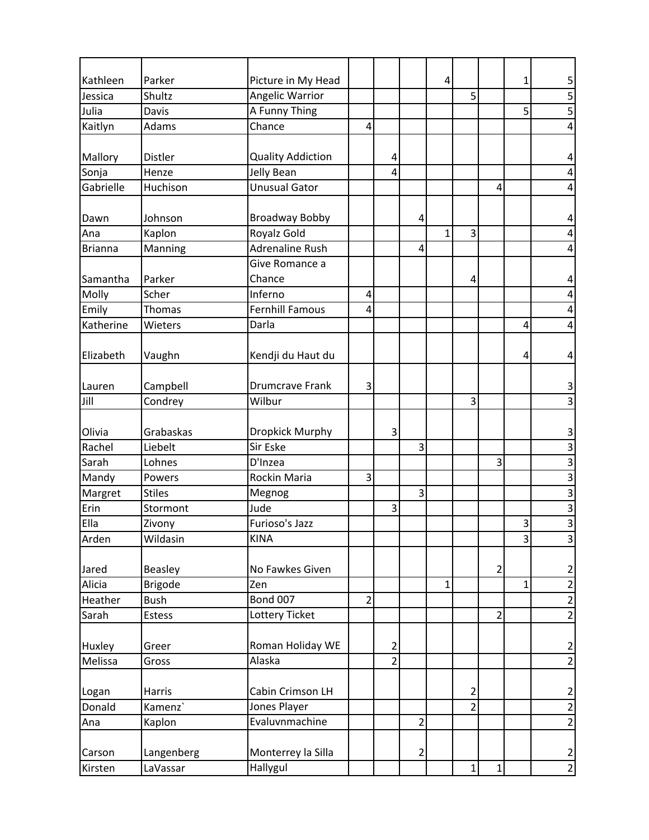| Kathleen       | Parker         | Picture in My Head       |                |                |                | 4            |                |                | 1                       | 5                                |
|----------------|----------------|--------------------------|----------------|----------------|----------------|--------------|----------------|----------------|-------------------------|----------------------------------|
| Jessica        | Shultz         | Angelic Warrior          |                |                |                |              | 5              |                |                         | $\overline{5}$                   |
| Julia          | Davis          | A Funny Thing            |                |                |                |              |                |                | 5                       | $\overline{5}$                   |
| Kaitlyn        | Adams          | Chance                   | 4              |                |                |              |                |                |                         | 4                                |
|                |                |                          |                |                |                |              |                |                |                         |                                  |
| Mallory        | Distler        | <b>Quality Addiction</b> |                | 4              |                |              |                |                |                         | 4                                |
| Sonja          | Henze          | Jelly Bean               |                | $\overline{4}$ |                |              |                |                |                         | 4                                |
| Gabrielle      | Huchison       | <b>Unusual Gator</b>     |                |                |                |              |                | 4              |                         | 4                                |
| Dawn           | Johnson        | <b>Broadway Bobby</b>    |                |                | 4              |              |                |                |                         | 4                                |
| Ana            | Kaplon         | Royalz Gold              |                |                |                | $\mathbf{1}$ | 3              |                |                         | 4                                |
| <b>Brianna</b> | Manning        | <b>Adrenaline Rush</b>   |                |                | 4              |              |                |                |                         | 4                                |
|                |                | Give Romance a           |                |                |                |              |                |                |                         |                                  |
| Samantha       | Parker         | Chance                   |                |                |                |              | 4              |                |                         | 4                                |
| Molly          | Scher          | Inferno                  | 4              |                |                |              |                |                |                         | 4                                |
| Emily          | Thomas         | <b>Fernhill Famous</b>   | 4              |                |                |              |                |                |                         | 4                                |
| Katherine      | Wieters        | Darla                    |                |                |                |              |                |                | 4                       | 4                                |
| Elizabeth      | Vaughn         | Kendji du Haut du        |                |                |                |              |                |                | 4                       | 4                                |
| Lauren         | Campbell       | <b>Drumcrave Frank</b>   | 3              |                |                |              |                |                |                         | 3                                |
| Jill           | Condrey        | Wilbur                   |                |                |                |              | 3              |                |                         | $\overline{3}$                   |
| Olivia         | Grabaskas      | Dropkick Murphy          |                | 3              |                |              |                |                |                         | 3                                |
| Rachel         | Liebelt        | Sir Eske                 |                |                | 3              |              |                |                |                         | $\overline{3}$                   |
| Sarah          | Lohnes         | D'Inzea                  |                |                |                |              |                | 3              |                         | $\overline{3}$                   |
| Mandy          | Powers         | Rockin Maria             | 3              |                |                |              |                |                |                         | $\overline{3}$                   |
| Margret        | <b>Stiles</b>  | Megnog                   |                |                | 3              |              |                |                |                         | $\overline{3}$                   |
| Erin           | Stormont       | Jude                     |                | 3              |                |              |                |                |                         | $\frac{1}{3}$                    |
| Ella           | Zivony         | Furioso's Jazz           |                |                |                |              |                |                | 3                       | $\overline{3}$                   |
| Arden          | Wildasin       | <b>KINA</b>              |                |                |                |              |                |                | $\overline{\mathbf{3}}$ | 3                                |
| Jared          | Beasley        | No Fawkes Given          |                |                |                |              |                | $\overline{2}$ |                         | $\overline{2}$                   |
| Alicia         | <b>Brigode</b> | Zen                      |                |                |                | $\mathbf{1}$ |                |                | $\mathbf 1$             | $\overline{2}$                   |
| Heather        | <b>Bush</b>    | <b>Bond 007</b>          | $\overline{2}$ |                |                |              |                |                |                         | $\overline{2}$                   |
| Sarah          | <b>Estess</b>  | Lottery Ticket           |                |                |                |              |                | $\overline{2}$ |                         | $\overline{2}$                   |
| Huxley         | Greer          | Roman Holiday WE         |                | $\overline{2}$ |                |              |                |                |                         | $\overline{2}$                   |
| Melissa        | Gross          | Alaska                   |                | $\overline{2}$ |                |              |                |                |                         | $\overline{2}$                   |
| Logan          | Harris         | Cabin Crimson LH         |                |                |                |              | $\overline{a}$ |                |                         | $\overline{2}$                   |
| Donald         | Kamenz`        | Jones Player             |                |                |                |              | $\overline{2}$ |                |                         | $\overline{2}$                   |
| Ana            | Kaplon         | Evaluvnmachine           |                |                | $\overline{2}$ |              |                |                |                         | $\overline{2}$                   |
|                |                |                          |                |                |                |              |                |                |                         |                                  |
| Carson         | Langenberg     | Monterrey la Silla       |                |                | $\overline{2}$ |              |                |                |                         | $\overline{2}$<br>$\overline{2}$ |
| Kirsten        | LaVassar       | Hallygul                 |                |                |                |              | $1\vert$       | $1\vert$       |                         |                                  |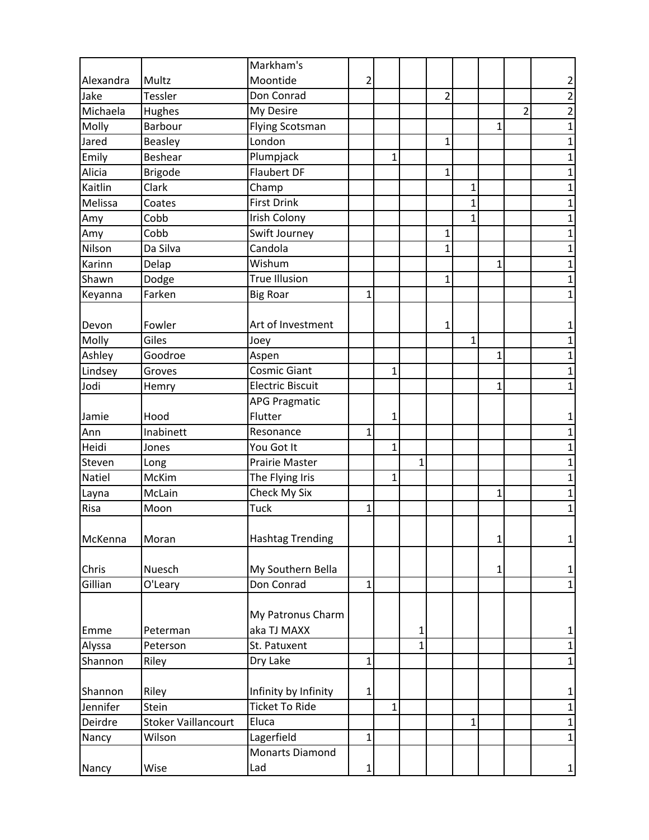|           |                            | Markham's               |              |              |             |                |             |              |                |                |
|-----------|----------------------------|-------------------------|--------------|--------------|-------------|----------------|-------------|--------------|----------------|----------------|
| Alexandra | Multz                      | Moontide                | 2            |              |             |                |             |              |                | 2              |
| Jake      | Tessler                    | Don Conrad              |              |              |             | $\overline{2}$ |             |              |                | $\overline{c}$ |
| Michaela  | Hughes                     | My Desire               |              |              |             |                |             |              | $\overline{2}$ | $\overline{2}$ |
| Molly     | Barbour                    | <b>Flying Scotsman</b>  |              |              |             |                |             | $\mathbf 1$  |                | $\overline{1}$ |
| Jared     | Beasley                    | London                  |              |              |             | $\mathbf{1}$   |             |              |                | 1              |
| Emily     | <b>Beshear</b>             | Plumpjack               |              | $\mathbf{1}$ |             |                |             |              |                | $\mathbf 1$    |
| Alicia    | <b>Brigode</b>             | <b>Flaubert DF</b>      |              |              |             | $\mathbf{1}$   |             |              |                | $\mathbf 1$    |
| Kaitlin   | Clark                      | Champ                   |              |              |             |                | 1           |              |                | $\mathbf{1}$   |
| Melissa   | Coates                     | <b>First Drink</b>      |              |              |             |                | $\mathbf 1$ |              |                | $\overline{1}$ |
| Amy       | Cobb                       | Irish Colony            |              |              |             |                | 1           |              |                | 1              |
| Amy       | Cobb                       | Swift Journey           |              |              |             | 1              |             |              |                | $\mathbf 1$    |
| Nilson    | Da Silva                   | Candola                 |              |              |             | $\mathbf{1}$   |             |              |                | $\mathbf 1$    |
| Karinn    | Delap                      | Wishum                  |              |              |             |                |             | $\mathbf{1}$ |                | $\mathbf{1}$   |
| Shawn     | Dodge                      | <b>True Illusion</b>    |              |              |             | $\mathbf{1}$   |             |              |                | $\mathbf 1$    |
| Keyanna   | Farken                     | <b>Big Roar</b>         | 1            |              |             |                |             |              |                | 1              |
|           |                            |                         |              |              |             |                |             |              |                |                |
| Devon     | Fowler                     | Art of Investment       |              |              |             | 1              |             |              |                | 1              |
| Molly     | Giles                      | Joey                    |              |              |             |                | $\mathbf 1$ |              |                | 1              |
| Ashley    | Goodroe                    | Aspen                   |              |              |             |                |             | $\mathbf{1}$ |                | $\mathbf 1$    |
| Lindsey   | Groves                     | <b>Cosmic Giant</b>     |              | 1            |             |                |             |              |                | 1              |
| Jodi      | Hemry                      | <b>Electric Biscuit</b> |              |              |             |                |             | 1            |                | $\overline{1}$ |
|           |                            | <b>APG Pragmatic</b>    |              |              |             |                |             |              |                |                |
| Jamie     | Hood                       | Flutter                 |              | 1            |             |                |             |              |                | 1              |
| Ann       | Inabinett                  | Resonance               | 1            |              |             |                |             |              |                | $\mathbf{1}$   |
| Heidi     | Jones                      | You Got It              |              | 1            |             |                |             |              |                | 1              |
| Steven    | Long                       | Prairie Master          |              |              | 1           |                |             |              |                | $\mathbf 1$    |
| Natiel    | McKim                      | The Flying Iris         |              | $\mathbf{1}$ |             |                |             |              |                | $\mathbf 1$    |
| Layna     | McLain                     | Check My Six            |              |              |             |                |             | $\mathbf{1}$ |                | $\mathbf{1}$   |
| Risa      | Moon                       | Tuck                    | 1            |              |             |                |             |              |                | $\mathbf{1}$   |
| McKenna   | Moran                      | <b>Hashtag Trending</b> |              |              |             |                |             | $1\vert$     |                | $\mathbf{1}$   |
|           |                            |                         |              |              |             |                |             |              |                |                |
| Chris     | Nuesch                     | My Southern Bella       |              |              |             |                |             | $\mathbf{1}$ |                | 1              |
| Gillian   | O'Leary                    | Don Conrad              | $\mathbf{1}$ |              |             |                |             |              |                | $\mathbf{1}$   |
|           |                            |                         |              |              |             |                |             |              |                |                |
|           |                            | My Patronus Charm       |              |              |             |                |             |              |                |                |
| Emme      | Peterman                   | aka TJ MAXX             |              |              | 1           |                |             |              |                | 1              |
| Alyssa    | Peterson                   | St. Patuxent            |              |              | $\mathbf 1$ |                |             |              |                | $\mathbf 1$    |
| Shannon   | Riley                      | Dry Lake                | $\mathbf{1}$ |              |             |                |             |              |                | $\mathbf{1}$   |
| Shannon   | Riley                      | Infinity by Infinity    | 1            |              |             |                |             |              |                | 1              |
| Jennifer  | Stein                      | <b>Ticket To Ride</b>   |              | $\mathbf 1$  |             |                |             |              |                | $\mathbf 1$    |
| Deirdre   | <b>Stoker Vaillancourt</b> | Eluca                   |              |              |             |                | 1           |              |                | $\mathbf 1$    |
| Nancy     | Wilson                     | Lagerfield              | $\mathbf{1}$ |              |             |                |             |              |                | $\mathbf{1}$   |
|           |                            | <b>Monarts Diamond</b>  |              |              |             |                |             |              |                |                |
| Nancy     | Wise                       | Lad                     | 1            |              |             |                |             |              |                | 1              |
|           |                            |                         |              |              |             |                |             |              |                |                |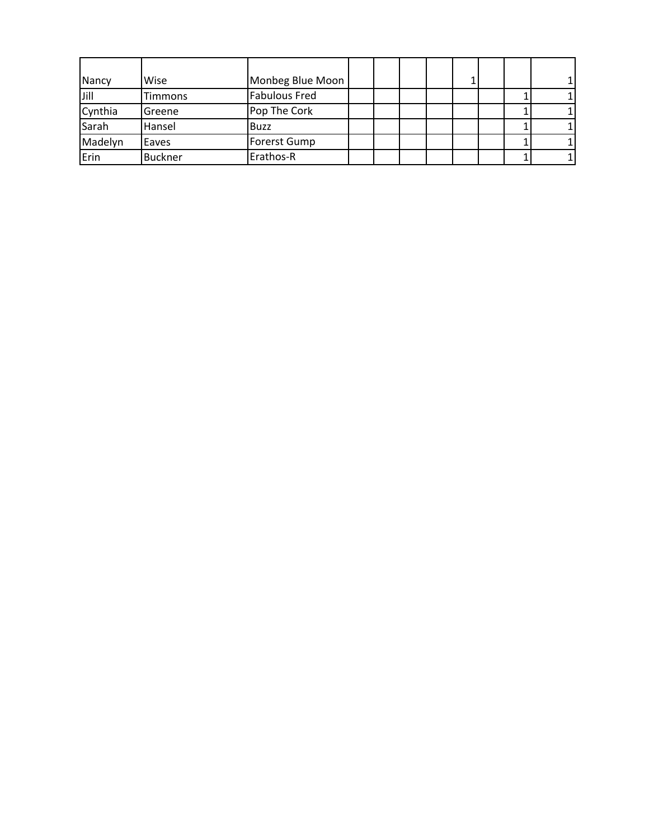| Nancy   | Wise           | Monbeg Blue Moon     |  |  |  |  |
|---------|----------------|----------------------|--|--|--|--|
| Jill    | Timmons        | <b>Fabulous Fred</b> |  |  |  |  |
| Cynthia | Greene         | Pop The Cork         |  |  |  |  |
| Sarah   | Hansel         | <b>Buzz</b>          |  |  |  |  |
| Madelyn | Eaves          | <b>Forerst Gump</b>  |  |  |  |  |
| Erin    | <b>Buckner</b> | Erathos-R            |  |  |  |  |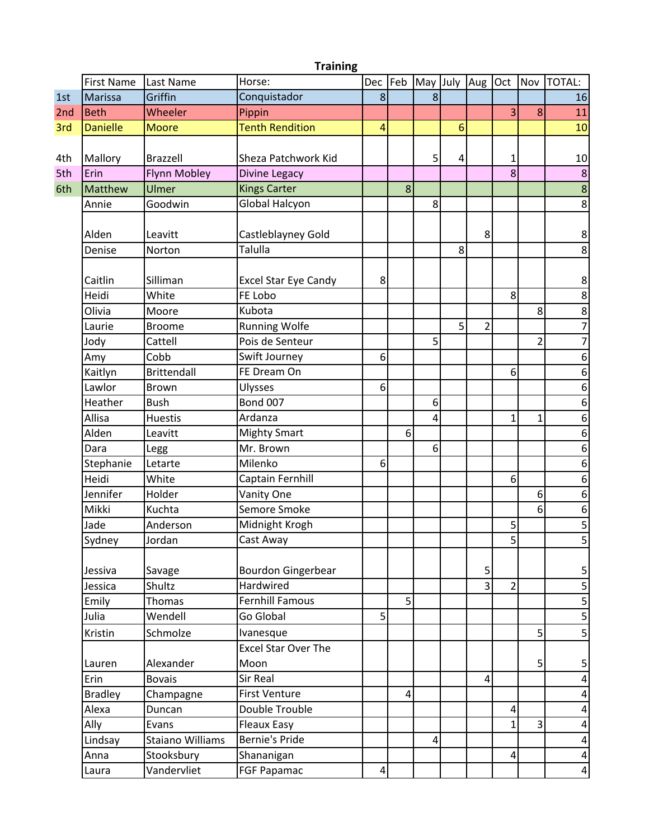|     | <b>Training</b>   |                         |                             |     |     |                  |   |                |                |                |                  |
|-----|-------------------|-------------------------|-----------------------------|-----|-----|------------------|---|----------------|----------------|----------------|------------------|
|     | <b>First Name</b> | Last Name               | Horse:                      | Dec | Feb | May July Aug Oct |   |                |                | Nov            | <b>TOTAL:</b>    |
| 1st | Marissa           | Griffin                 | Conquistador                | 8   |     | $\bf 8$          |   |                |                |                | 16               |
| 2nd | <b>Beth</b>       | Wheeler                 | Pippin                      |     |     |                  |   |                | 3              | 8              | 11               |
| 3rd | <b>Danielle</b>   | <b>Moore</b>            | <b>Tenth Rendition</b>      | 4   |     |                  | 6 |                |                |                | 10               |
|     |                   |                         |                             |     |     |                  |   |                |                |                |                  |
| 4th | Mallory           | Brazzell                | Sheza Patchwork Kid         |     |     | 5                | 4 |                | 1              |                | 10               |
| 5th | Erin              | <b>Flynn Mobley</b>     | Divine Legacy               |     |     |                  |   |                | 8              |                | $\boldsymbol{8}$ |
| 6th | Matthew           | Ulmer                   | <b>Kings Carter</b>         |     | 8   |                  |   |                |                |                | $\overline{8}$   |
|     | Annie             | Goodwin                 | Global Halcyon              |     |     | 8                |   |                |                |                | 8                |
|     | Alden             | Leavitt                 | Castleblayney Gold          |     |     |                  |   | 8              |                |                | 8                |
|     | Denise            | Norton                  | Talulla                     |     |     |                  | 8 |                |                |                | $\overline{8}$   |
|     | Caitlin           | Silliman                | <b>Excel Star Eye Candy</b> | 8   |     |                  |   |                |                |                | 8                |
|     | Heidi             | White                   | FE Lobo                     |     |     |                  |   |                | 8              |                | 8                |
|     | Olivia            | Moore                   | Kubota                      |     |     |                  |   |                |                | 8              | 8                |
|     | Laurie            | <b>Broome</b>           | <b>Running Wolfe</b>        |     |     |                  | 5 | $\overline{2}$ |                |                | $\overline{7}$   |
|     | Jody              | Cattell                 | Pois de Senteur             |     |     | 5                |   |                |                | $\overline{2}$ | 7                |
|     | Amy               | Cobb                    | Swift Journey               | 6   |     |                  |   |                |                |                | 6                |
|     | Kaitlyn           | <b>Brittendall</b>      | FE Dream On                 |     |     |                  |   |                | 6              |                | $\boldsymbol{6}$ |
|     | Lawlor            | <b>Brown</b>            | Ulysses                     | 6   |     |                  |   |                |                |                | 6                |
|     | Heather           | <b>Bush</b>             | <b>Bond 007</b>             |     |     | 6                |   |                |                |                | $\boldsymbol{6}$ |
|     | Allisa            | <b>Huestis</b>          | Ardanza                     |     |     | 4                |   |                | 1              | $\mathbf{1}$   | 6                |
|     | Alden             | Leavitt                 | <b>Mighty Smart</b>         |     | 6   |                  |   |                |                |                | $\boldsymbol{6}$ |
|     | Dara              | Legg                    | Mr. Brown                   |     |     | 6                |   |                |                |                | $\boldsymbol{6}$ |
|     | Stephanie         | Letarte                 | Milenko                     | 6   |     |                  |   |                |                |                | 6                |
|     | Heidi             | White                   | Captain Fernhill            |     |     |                  |   |                | 6              |                | 6                |
|     | Jennifer          | Holder                  | Vanity One                  |     |     |                  |   |                |                | 6              | $\boldsymbol{6}$ |
|     | Mikki             | Kuchta                  | Semore Smoke                |     |     |                  |   |                |                | 6              | 6                |
|     | Jade              | Anderson                | Midnight Krogh              |     |     |                  |   |                | 5              |                | 5                |
|     | Sydney            | Jordan                  | Cast Away                   |     |     |                  |   |                | $\overline{5}$ |                | $\overline{5}$   |
|     | Jessiva           | Savage                  | <b>Bourdon Gingerbear</b>   |     |     |                  |   | 5              |                |                | 5                |
|     | Jessica           | Shultz                  | Hardwired                   |     |     |                  |   | 3              | $\overline{2}$ |                | $\mathsf S$      |
|     | Emily             | Thomas                  | <b>Fernhill Famous</b>      |     | 5   |                  |   |                |                |                | 5                |
|     | Julia             | Wendell                 | Go Global                   | 5   |     |                  |   |                |                |                | $\mathsf S$      |
|     | Kristin           | Schmolze                | Ivanesque                   |     |     |                  |   |                |                | 5 <sub>l</sub> | $\mathsf S$      |
|     |                   |                         | <b>Excel Star Over The</b>  |     |     |                  |   |                |                |                |                  |
|     | Lauren            | Alexander               | Moon                        |     |     |                  |   |                |                | 5              | 5                |
|     | Erin              | <b>Bovais</b>           | Sir Real                    |     |     |                  |   | $\overline{4}$ |                |                | $\pmb{4}$        |
|     | <b>Bradley</b>    | Champagne               | <b>First Venture</b>        |     | 4   |                  |   |                |                |                | 4                |
|     | Alexa             | Duncan                  | Double Trouble              |     |     |                  |   |                | 4              |                | 4                |
|     | Ally              | Evans                   | <b>Fleaux Easy</b>          |     |     |                  |   |                | 1              | $\overline{3}$ | $\pmb{4}$        |
|     | Lindsay           | <b>Staiano Williams</b> | <b>Bernie's Pride</b>       |     |     | 4                |   |                |                |                | $\overline{4}$   |
|     | Anna              | Stooksbury              | Shananigan                  |     |     |                  |   |                | 4              |                | $\pmb{4}$        |
|     | Laura             | Vandervliet             | FGF Papamac                 | 4   |     |                  |   |                |                |                | $\overline{4}$   |